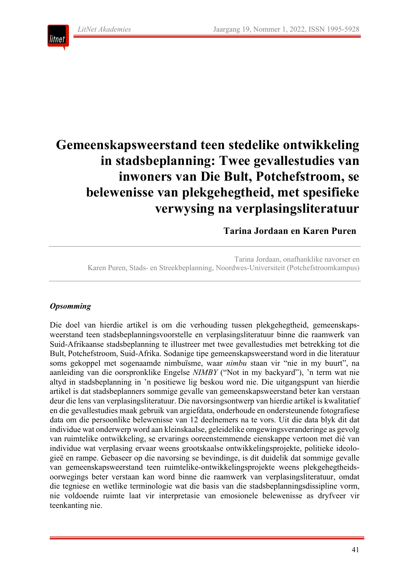

# **Gemeenskapsweerstand teen stedelike ontwikkeling in stadsbeplanning: Twee gevallestudies van inwoners van Die Bult, Potchefstroom, se belewenisse van plekgehegtheid, met spesifieke verwysing na verplasingsliteratuur**

**Tarina Jordaan en Karen Puren**

Tarina Jordaan, onafhanklike navorser en Karen Puren, Stads- en Streekbeplanning, Noordwes-Universiteit (Potchefstroomkampus)

# *Opsomming*

Die doel van hierdie artikel is om die verhouding tussen plekgehegtheid, gemeenskapsweerstand teen stadsbeplanningsvoorstelle en verplasingsliteratuur binne die raamwerk van Suid-Afrikaanse stadsbeplanning te illustreer met twee gevallestudies met betrekking tot die Bult, Potchefstroom, Suid-Afrika. Sodanige tipe gemeenskapsweerstand word in die literatuur soms gekoppel met sogenaamde nimbuïsme, waar *nimbu* staan vir "nie in my buurt", na aanleiding van die oorspronklike Engelse *NIMBY* ("Not in my backyard"), 'n term wat nie altyd in stadsbeplanning in 'n positiewe lig beskou word nie. Die uitgangspunt van hierdie artikel is dat stadsbeplanners sommige gevalle van gemeenskapsweerstand beter kan verstaan deur die lens van verplasingsliteratuur. Die navorsingsontwerp van hierdie artikel is kwalitatief en die gevallestudies maak gebruik van argiefdata, onderhoude en ondersteunende fotografiese data om die persoonlike belewenisse van 12 deelnemers na te vors. Uit die data blyk dit dat individue wat onderwerp word aan kleinskaalse, geleidelike omgewingsveranderinge as gevolg van ruimtelike ontwikkeling, se ervarings ooreenstemmende eienskappe vertoon met dié van individue wat verplasing ervaar weens grootskaalse ontwikkelingsprojekte, politieke ideologieë en rampe. Gebaseer op die navorsing se bevindinge, is dit duidelik dat sommige gevalle van gemeenskapsweerstand teen ruimtelike-ontwikkelingsprojekte weens plekgehegtheidsoorwegings beter verstaan kan word binne die raamwerk van verplasingsliteratuur, omdat die tegniese en wetlike terminologie wat die basis van die stadsbeplanningsdissipline vorm, nie voldoende ruimte laat vir interpretasie van emosionele belewenisse as dryfveer vir teenkanting nie.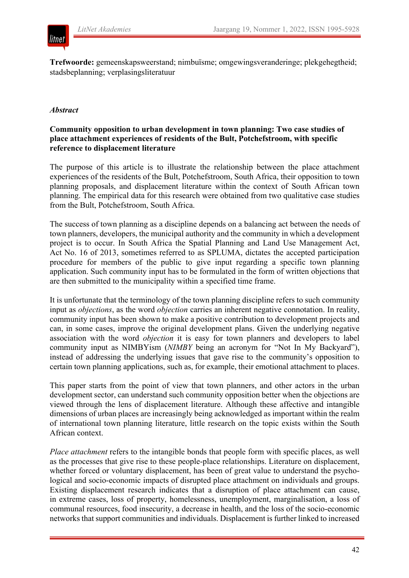# litnet

**Trefwoorde:** gemeenskapsweerstand; nimbuïsme; omgewingsveranderinge; plekgehegtheid; stadsbeplanning; verplasingsliteratuur

# *Abstract*

# **Community opposition to urban development in town planning: Two case studies of place attachment experiences of residents of the Bult, Potchefstroom, with specific reference to displacement literature**

The purpose of this article is to illustrate the relationship between the place attachment experiences of the residents of the Bult, Potchefstroom, South Africa, their opposition to town planning proposals, and displacement literature within the context of South African town planning. The empirical data for this research were obtained from two qualitative case studies from the Bult, Potchefstroom, South Africa.

The success of town planning as a discipline depends on a balancing act between the needs of town planners, developers, the municipal authority and the community in which a development project is to occur. In South Africa the Spatial Planning and Land Use Management Act, Act No. 16 of 2013, sometimes referred to as SPLUMA, dictates the accepted participation procedure for members of the public to give input regarding a specific town planning application. Such community input has to be formulated in the form of written objections that are then submitted to the municipality within a specified time frame.

It is unfortunate that the terminology of the town planning discipline refers to such community input as *objections*, as the word *objection* carries an inherent negative connotation. In reality, community input has been shown to make a positive contribution to development projects and can, in some cases, improve the original development plans. Given the underlying negative association with the word *objection* it is easy for town planners and developers to label community input as NIMBYism (*NIMBY* being an acronym for "Not In My Backyard"), instead of addressing the underlying issues that gave rise to the community's opposition to certain town planning applications, such as, for example, their emotional attachment to places.

This paper starts from the point of view that town planners, and other actors in the urban development sector, can understand such community opposition better when the objections are viewed through the lens of displacement literature. Although these affective and intangible dimensions of urban places are increasingly being acknowledged as important within the realm of international town planning literature, little research on the topic exists within the South African context.

*Place attachment* refers to the intangible bonds that people form with specific places, as well as the processes that give rise to these people-place relationships. Literature on displacement, whether forced or voluntary displacement, has been of great value to understand the psychological and socio-economic impacts of disrupted place attachment on individuals and groups. Existing displacement research indicates that a disruption of place attachment can cause, in extreme cases, loss of property, homelessness, unemployment, marginalisation, a loss of communal resources, food insecurity, a decrease in health, and the loss of the socio-economic networks that support communities and individuals. Displacement is further linked to increased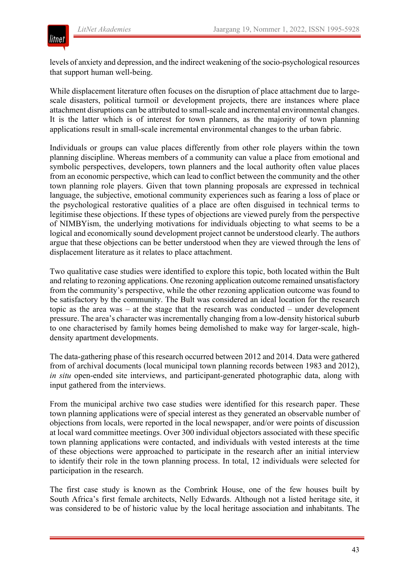

levels of anxiety and depression, and the indirect weakening of the socio-psychological resources that support human well-being.

While displacement literature often focuses on the disruption of place attachment due to largescale disasters, political turmoil or development projects, there are instances where place attachment disruptions can be attributed to small-scale and incremental environmental changes. It is the latter which is of interest for town planners, as the majority of town planning applications result in small-scale incremental environmental changes to the urban fabric.

Individuals or groups can value places differently from other role players within the town planning discipline. Whereas members of a community can value a place from emotional and symbolic perspectives, developers, town planners and the local authority often value places from an economic perspective, which can lead to conflict between the community and the other town planning role players. Given that town planning proposals are expressed in technical language, the subjective, emotional community experiences such as fearing a loss of place or the psychological restorative qualities of a place are often disguised in technical terms to legitimise these objections. If these types of objections are viewed purely from the perspective of NIMBYism, the underlying motivations for individuals objecting to what seems to be a logical and economically sound development project cannot be understood clearly. The authors argue that these objections can be better understood when they are viewed through the lens of displacement literature as it relates to place attachment.

Two qualitative case studies were identified to explore this topic, both located within the Bult and relating to rezoning applications. One rezoning application outcome remained unsatisfactory from the community's perspective, while the other rezoning application outcome was found to be satisfactory by the community. The Bult was considered an ideal location for the research topic as the area was – at the stage that the research was conducted – under development pressure. The area's character was incrementally changing from a low-density historical suburb to one characterised by family homes being demolished to make way for larger-scale, highdensity apartment developments.

The data-gathering phase of this research occurred between 2012 and 2014. Data were gathered from of archival documents (local municipal town planning records between 1983 and 2012), *in situ* open-ended site interviews, and participant-generated photographic data, along with input gathered from the interviews.

From the municipal archive two case studies were identified for this research paper. These town planning applications were of special interest as they generated an observable number of objections from locals, were reported in the local newspaper, and/or were points of discussion at local ward committee meetings. Over 300 individual objectors associated with these specific town planning applications were contacted, and individuals with vested interests at the time of these objections were approached to participate in the research after an initial interview to identify their role in the town planning process. In total, 12 individuals were selected for participation in the research.

The first case study is known as the Combrink House, one of the few houses built by South Africa's first female architects, Nelly Edwards. Although not a listed heritage site, it was considered to be of historic value by the local heritage association and inhabitants. The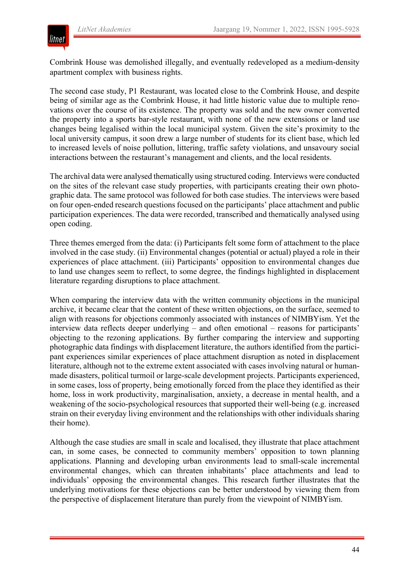

Combrink House was demolished illegally, and eventually redeveloped as a medium-density apartment complex with business rights.

The second case study, P1 Restaurant, was located close to the Combrink House, and despite being of similar age as the Combrink House, it had little historic value due to multiple renovations over the course of its existence. The property was sold and the new owner converted the property into a sports bar-style restaurant, with none of the new extensions or land use changes being legalised within the local municipal system. Given the site's proximity to the local university campus, it soon drew a large number of students for its client base, which led to increased levels of noise pollution, littering, traffic safety violations, and unsavoury social interactions between the restaurant's management and clients, and the local residents.

The archival data were analysed thematically using structured coding. Interviews were conducted on the sites of the relevant case study properties, with participants creating their own photographic data. The same protocol was followed for both case studies. The interviews were based on four open-ended research questions focused on the participants' place attachment and public participation experiences. The data were recorded, transcribed and thematically analysed using open coding.

Three themes emerged from the data: (i) Participants felt some form of attachment to the place involved in the case study. (ii) Environmental changes (potential or actual) played a role in their experiences of place attachment. (iii) Participants' opposition to environmental changes due to land use changes seem to reflect, to some degree, the findings highlighted in displacement literature regarding disruptions to place attachment.

When comparing the interview data with the written community objections in the municipal archive, it became clear that the content of these written objections, on the surface, seemed to align with reasons for objections commonly associated with instances of NIMBYism. Yet the interview data reflects deeper underlying – and often emotional – reasons for participants' objecting to the rezoning applications. By further comparing the interview and supporting photographic data findings with displacement literature, the authors identified from the participant experiences similar experiences of place attachment disruption as noted in displacement literature, although not to the extreme extent associated with cases involving natural or humanmade disasters, political turmoil or large-scale development projects. Participants experienced, in some cases, loss of property, being emotionally forced from the place they identified as their home, loss in work productivity, marginalisation, anxiety, a decrease in mental health, and a weakening of the socio-psychological resources that supported their well-being (e.g. increased strain on their everyday living environment and the relationships with other individuals sharing their home).

Although the case studies are small in scale and localised, they illustrate that place attachment can, in some cases, be connected to community members' opposition to town planning applications. Planning and developing urban environments lead to small-scale incremental environmental changes, which can threaten inhabitants' place attachments and lead to individuals' opposing the environmental changes. This research further illustrates that the underlying motivations for these objections can be better understood by viewing them from the perspective of displacement literature than purely from the viewpoint of NIMBYism.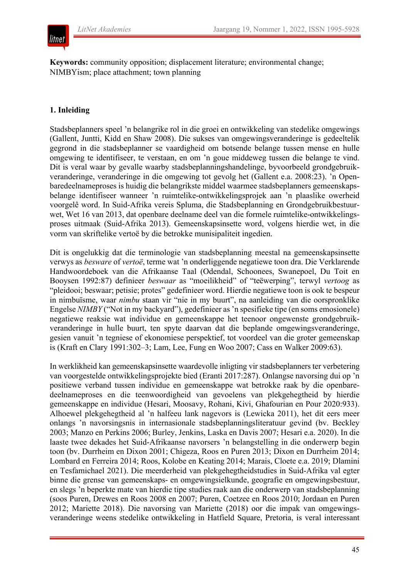# litnet

**Keywords:** community opposition; displacement literature; environmental change; NIMBYism; place attachment; town planning

# **1. Inleiding**

Stadsbeplanners speel 'n belangrike rol in die groei en ontwikkeling van stedelike omgewings (Gallent, Juntti, Kidd en Shaw 2008). Die sukses van omgewingsveranderinge is gedeeltelik gegrond in die stadsbeplanner se vaardigheid om botsende belange tussen mense en hulle omgewing te identifiseer, te verstaan, en om 'n goue middeweg tussen die belange te vind. Dit is veral waar by gevalle waarby stadsbeplanningshandelinge, byvoorbeeld grondgebruikveranderinge, veranderinge in die omgewing tot gevolg het (Gallent e.a. 2008:23). 'n Openbaredeelnameproses is huidig die belangrikste middel waarmee stadsbeplanners gemeenskapsbelange identifiseer wanneer 'n ruimtelike-ontwikkelingsprojek aan 'n plaaslike owerheid voorgelê word. In Suid-Afrika vereis Spluma, die Stadsbeplanning en Grondgebruikbestuurwet, Wet 16 van 2013, dat openbare deelname deel van die formele ruimtelike-ontwikkelingsproses uitmaak (Suid-Afrika 2013). Gemeenskapsinsette word, volgens hierdie wet, in die vorm van skriftelike vertoë by die betrokke munisipaliteit ingedien.

Dit is ongelukkig dat die terminologie van stadsbeplanning meestal na gemeenskapsinsette verwys as *besware* of *vertoë*, terme wat 'n onderliggende negatiewe toon dra. Die Verklarende Handwoordeboek van die Afrikaanse Taal (Odendal, Schoonees, Swanepoel, Du Toit en Booysen 1992:87) definieer *beswaar* as "moeilikheid" of "teëwerping", terwyl *vertoog* as "pleidooi; beswaar; petisie; protes" gedefinieer word. Hierdie negatiewe toon is ook te bespeur in nimbuïsme, waar *nimbu* staan vir "nie in my buurt", na aanleiding van die oorspronklike Engelse *NIMBY* ("Not in my backyard"), gedefinieer as 'n spesifieke tipe (en soms emosionele) negatiewe reaksie wat individue en gemeenskappe het teenoor ongewenste grondgebruikveranderinge in hulle buurt, ten spyte daarvan dat die beplande omgewingsveranderinge, gesien vanuit 'n tegniese of ekonomiese perspektief, tot voordeel van die groter gemeenskap is (Kraft en Clary 1991:302–3; Lam, Lee, Fung en Woo 2007; Cass en Walker 2009:63).

In werklikheid kan gemeenskapsinsette waardevolle inligting vir stadsbeplanners ter verbetering van voorgestelde ontwikkelingsprojekte bied (Eranti 2017:287). Onlangse navorsing dui op 'n positiewe verband tussen individue en gemeenskappe wat betrokke raak by die openbaredeelnameproses en die teenwoordigheid van gevoelens van plekgehegtheid by hierdie gemeenskappe en individue (Hesari, Moosavy, Rohani, Kivi, Ghafourian en Pour 2020:933). Alhoewel plekgehegtheid al 'n halfeeu lank nagevors is (Lewicka 2011), het dit eers meer onlangs 'n navorsingsnis in internasionale stadsbeplanningsliteratuur gevind (bv. Beckley 2003; Manzo en Perkins 2006; Burley, Jenkins, Laska en Davis 2007; Hesari e.a. 2020). In die laaste twee dekades het Suid-Afrikaanse navorsers 'n belangstelling in die onderwerp begin toon (bv. Durrheim en Dixon 2001; Chigeza, Roos en Puren 2013; Dixon en Durrheim 2014; Lombard en Ferreira 2014; Roos, Kolobe en Keating 2014; Marais, Cloete e.a. 2019; Dlamini en Tesfamichael 2021). Die meerderheid van plekgehegtheidstudies in Suid-Afrika val egter binne die grense van gemeenskaps- en omgewingsielkunde, geografie en omgewingsbestuur, en slegs 'n beperkte mate van hierdie tipe studies raak aan die onderwerp van stadsbeplanning (soos Puren, Drewes en Roos 2008 en 2007; Puren, Coetzee en Roos 2010; Jordaan en Puren 2012; Mariette 2018). Die navorsing van Mariette (2018) oor die impak van omgewingsveranderinge weens stedelike ontwikkeling in Hatfield Square, Pretoria, is veral interessant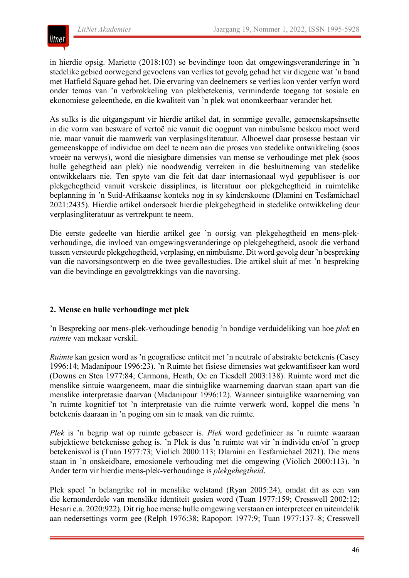

in hierdie opsig. Mariette (2018:103) se bevindinge toon dat omgewingsveranderinge in 'n stedelike gebied oorwegend gevoelens van verlies tot gevolg gehad het vir diegene wat 'n band met Hatfield Square gehad het. Die ervaring van deelnemers se verlies kon verder verfyn word onder temas van 'n verbrokkeling van plekbetekenis, verminderde toegang tot sosiale en ekonomiese geleenthede, en die kwaliteit van 'n plek wat onomkeerbaar verander het.

As sulks is die uitgangspunt vir hierdie artikel dat, in sommige gevalle, gemeenskapsinsette in die vorm van besware of vertoë nie vanuit die oogpunt van nimbuïsme beskou moet word nie, maar vanuit die raamwerk van verplasingsliteratuur. Alhoewel daar prosesse bestaan vir gemeenskappe of individue om deel te neem aan die proses van stedelike ontwikkeling (soos vroeër na verwys), word die niesigbare dimensies van mense se verhoudinge met plek (soos hulle gehegtheid aan plek) nie noodwendig verreken in die besluitneming van stedelike ontwikkelaars nie. Ten spyte van die feit dat daar internasionaal wyd gepubliseer is oor plekgehegtheid vanuit verskeie dissiplines, is literatuur oor plekgehegtheid in ruimtelike beplanning in 'n Suid-Afrikaanse konteks nog in sy kinderskoene (Dlamini en Tesfamichael 2021:2435). Hierdie artikel ondersoek hierdie plekgehegtheid in stedelike ontwikkeling deur verplasingliteratuur as vertrekpunt te neem.

Die eerste gedeelte van hierdie artikel gee 'n oorsig van plekgehegtheid en mens-plekverhoudinge, die invloed van omgewingsveranderinge op plekgehegtheid, asook die verband tussen versteurde plekgehegtheid, verplasing, en nimbuïsme. Dit word gevolg deur 'n bespreking van die navorsingsontwerp en die twee gevallestudies. Die artikel sluit af met 'n bespreking van die bevindinge en gevolgtrekkings van die navorsing.

# **2. Mense en hulle verhoudinge met plek**

'n Bespreking oor mens-plek-verhoudinge benodig 'n bondige verduideliking van hoe *plek* en *ruimte* van mekaar verskil.

*Ruimte* kan gesien word as 'n geografiese entiteit met 'n neutrale of abstrakte betekenis (Casey 1996:14; Madanipour 1996:23). 'n Ruimte het fisiese dimensies wat gekwantifiseer kan word (Downs en Stea 1977:84; Carmona, Heath, Oc en Tiesdell 2003:138). Ruimte word met die menslike sintuie waargeneem, maar die sintuiglike waarneming daarvan staan apart van die menslike interpretasie daarvan (Madanipour 1996:12). Wanneer sintuiglike waarneming van 'n ruimte kognitief tot 'n interpretasie van die ruimte verwerk word, koppel die mens 'n betekenis daaraan in 'n poging om sin te maak van die ruimte.

*Plek* is 'n begrip wat op ruimte gebaseer is. *Plek* word gedefinieer as 'n ruimte waaraan subjektiewe betekenisse geheg is. 'n Plek is dus 'n ruimte wat vir 'n individu en/of 'n groep betekenisvol is (Tuan 1977:73; Violich 2000:113; Dlamini en Tesfamichael 2021). Die mens staan in 'n onskeidbare, emosionele verhouding met die omgewing (Violich 2000:113). 'n Ander term vir hierdie mens-plek-verhoudinge is *plekgehegtheid*.

Plek speel 'n belangrike rol in menslike welstand (Ryan 2005:24), omdat dit as een van die kernonderdele van menslike identiteit gesien word (Tuan 1977:159; Cresswell 2002:12; Hesari e.a. 2020:922). Dit rig hoe mense hulle omgewing verstaan en interpreteer en uiteindelik aan nedersettings vorm gee (Relph 1976:38; Rapoport 1977:9; Tuan 1977:137–8; Cresswell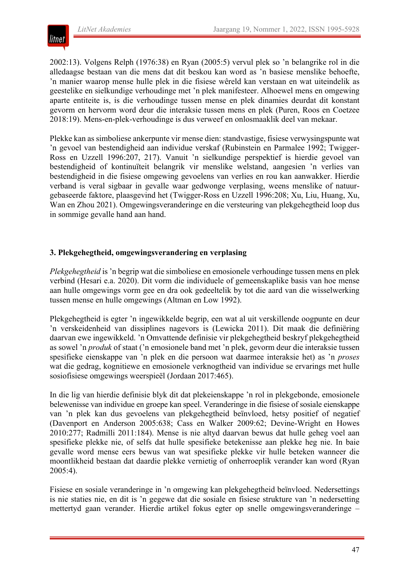

2002:13). Volgens Relph (1976:38) en Ryan (2005:5) vervul plek so 'n belangrike rol in die alledaagse bestaan van die mens dat dit beskou kan word as 'n basiese menslike behoefte, 'n manier waarop mense hulle plek in die fisiese wêreld kan verstaan en wat uiteindelik as geestelike en sielkundige verhoudinge met 'n plek manifesteer. Alhoewel mens en omgewing aparte entiteite is, is die verhoudinge tussen mense en plek dinamies deurdat dit konstant gevorm en hervorm word deur die interaksie tussen mens en plek (Puren, Roos en Coetzee 2018:19). Mens-en-plek-verhoudinge is dus verweef en onlosmaaklik deel van mekaar.

Plekke kan as simboliese ankerpunte vir mense dien: standvastige, fisiese verwysingspunte wat 'n gevoel van bestendigheid aan individue verskaf (Rubinstein en Parmalee 1992; Twigger-Ross en Uzzell 1996:207, 217). Vanuit 'n sielkundige perspektief is hierdie gevoel van bestendigheid of kontinuïteit belangrik vir menslike welstand, aangesien 'n verlies van bestendigheid in die fisiese omgewing gevoelens van verlies en rou kan aanwakker. Hierdie verband is veral sigbaar in gevalle waar gedwonge verplasing, weens menslike of natuurgebaseerde faktore, plaasgevind het (Twigger-Ross en Uzzell 1996:208; Xu, Liu, Huang, Xu, Wan en Zhou 2021). Omgewingsveranderinge en die versteuring van plekgehegtheid loop dus in sommige gevalle hand aan hand.

# **3. Plekgehegtheid, omgewingsverandering en verplasing**

*Plekgehegtheid* is 'n begrip wat die simboliese en emosionele verhoudinge tussen mens en plek verbind (Hesari e.a. 2020). Dit vorm die individuele of gemeenskaplike basis van hoe mense aan hulle omgewings vorm gee en dra ook gedeeltelik by tot die aard van die wisselwerking tussen mense en hulle omgewings (Altman en Low 1992).

Plekgehegtheid is egter 'n ingewikkelde begrip, een wat al uit verskillende oogpunte en deur 'n verskeidenheid van dissiplines nagevors is (Lewicka 2011). Dit maak die definiëring daarvan ewe ingewikkeld. 'n Omvattende definisie vir plekgehegtheid beskryf plekgehegtheid as sowel 'n *produk* of staat ('n emosionele band met 'n plek, gevorm deur die interaksie tussen spesifieke eienskappe van 'n plek en die persoon wat daarmee interaksie het) as 'n *proses* wat die gedrag, kognitiewe en emosionele verknogtheid van individue se ervarings met hulle sosiofisiese omgewings weerspieël (Jordaan 2017:465).

In die lig van hierdie definisie blyk dit dat plekeienskappe 'n rol in plekgebonde, emosionele belewenisse van individue en groepe kan speel. Veranderinge in die fisiese of sosiale eienskappe van 'n plek kan dus gevoelens van plekgehegtheid beïnvloed, hetsy positief of negatief (Davenport en Anderson 2005:638; Cass en Walker 2009:62; Devine-Wright en Howes 2010:277; Radmilli 2011:184). Mense is nie altyd daarvan bewus dat hulle geheg voel aan spesifieke plekke nie, of selfs dat hulle spesifieke betekenisse aan plekke heg nie. In baie gevalle word mense eers bewus van wat spesifieke plekke vir hulle beteken wanneer die moontlikheid bestaan dat daardie plekke vernietig of onherroeplik verander kan word (Ryan 2005:4).

Fisiese en sosiale veranderinge in 'n omgewing kan plekgehegtheid beïnvloed. Nedersettings is nie staties nie, en dit is 'n gegewe dat die sosiale en fisiese strukture van 'n nedersetting mettertyd gaan verander. Hierdie artikel fokus egter op snelle omgewingsveranderinge –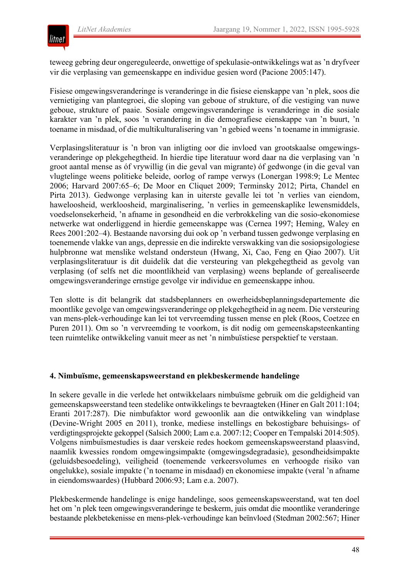

teweeg gebring deur ongereguleerde, onwettige of spekulasie-ontwikkelings wat as 'n dryfveer vir die verplasing van gemeenskappe en individue gesien word (Pacione 2005:147).

Fisiese omgewingsveranderinge is veranderinge in die fisiese eienskappe van 'n plek, soos die vernietiging van plantegroei, die sloping van geboue of strukture, of die vestiging van nuwe geboue, strukture of paaie. Sosiale omgewingsveranderinge is veranderinge in die sosiale karakter van 'n plek, soos 'n verandering in die demografiese eienskappe van 'n buurt, 'n toename in misdaad, of die multikulturalisering van 'n gebied weens 'n toename in immigrasie.

Verplasingsliteratuur is 'n bron van inligting oor die invloed van grootskaalse omgewingsveranderinge op plekgehegtheid. In hierdie tipe literatuur word daar na die verplasing van 'n groot aantal mense as óf vrywillig (in die geval van migrante) óf gedwonge (in die geval van vlugtelinge weens politieke beleide, oorlog of rampe verwys (Lonergan 1998:9; Le Mentec 2006; Harvard 2007:65–6; De Moor en Cliquet 2009; Terminsky 2012; Pirta, Chandel en Pirta 2013). Gedwonge verplasing kan in uiterste gevalle lei tot 'n verlies van eiendom, haweloosheid, werkloosheid, marginalisering, 'n verlies in gemeenskaplike lewensmiddels, voedselonsekerheid, 'n afname in gesondheid en die verbrokkeling van die sosio-ekonomiese netwerke wat onderliggend in hierdie gemeenskappe was (Cernea 1997; Heming, Waley en Rees 2001:202–4). Bestaande navorsing dui ook op 'n verband tussen gedwonge verplasing en toenemende vlakke van angs, depressie en die indirekte verswakking van die sosiopsigologiese hulpbronne wat menslike welstand ondersteun (Hwang, Xi, Cao, Feng en Qiao 2007). Uit verplasingsliteratuur is dit duidelik dat die versteuring van plekgehegtheid as gevolg van verplasing (of selfs net die moontlikheid van verplasing) weens beplande of gerealiseerde omgewingsveranderinge ernstige gevolge vir individue en gemeenskappe inhou.

Ten slotte is dit belangrik dat stadsbeplanners en owerheidsbeplanningsdepartemente die moontlike gevolge van omgewingsveranderinge op plekgehegtheid in ag neem. Die versteuring van mens-plek-verhoudinge kan lei tot vervreemding tussen mense en plek (Roos, Coetzee en Puren 2011). Om so 'n vervreemding te voorkom, is dit nodig om gemeenskapsteenkanting teen ruimtelike ontwikkeling vanuit meer as net 'n nimbuïstiese perspektief te verstaan.

#### **4. Nimbuïsme, gemeenskapsweerstand en plekbeskermende handelinge**

In sekere gevalle in die verlede het ontwikkelaars nimbuïsme gebruik om die geldigheid van gemeenskapsweerstand teen stedelike ontwikkelings te bevraagteken (Hiner en Galt 2011:104; Eranti 2017:287). Die nimbufaktor word gewoonlik aan die ontwikkeling van windplase (Devine-Wright 2005 en 2011), tronke, mediese instellings en bekostigbare behuisings- of verdigtingsprojekte gekoppel (Salsich 2000; Lam e.a. 2007:12; Cooper en Tempalski 2014:505). Volgens nimbuïsmestudies is daar verskeie redes hoekom gemeenskapsweerstand plaasvind, naamlik kwessies rondom omgewingsimpakte (omgewingsdegradasie), gesondheidsimpakte (geluidsbesoedeling), veiligheid (toenemende verkeersvolumes en verhoogde risiko van ongelukke), sosiale impakte ('n toename in misdaad) en ekonomiese impakte (veral 'n afname in eiendomswaardes) (Hubbard 2006:93; Lam e.a. 2007).

Plekbeskermende handelinge is enige handelinge, soos gemeenskapsweerstand, wat ten doel het om 'n plek teen omgewingsveranderinge te beskerm, juis omdat die moontlike veranderinge bestaande plekbetekenisse en mens-plek-verhoudinge kan beïnvloed (Stedman 2002:567; Hiner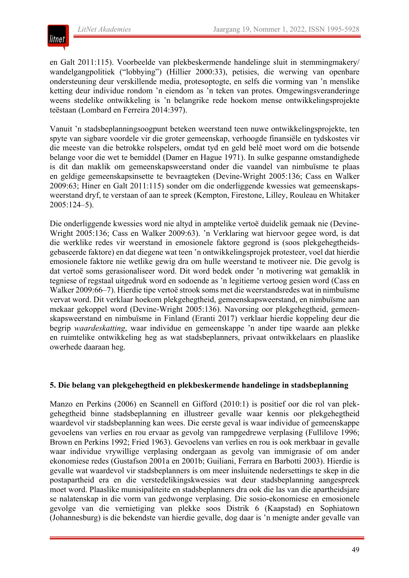

en Galt 2011:115). Voorbeelde van plekbeskermende handelinge sluit in stemmingmakery/ wandelgangpolitiek ("lobbying") (Hillier 2000:33), petisies, die werwing van openbare ondersteuning deur verskillende media, protesoptogte, en selfs die vorming van 'n menslike ketting deur individue rondom 'n eiendom as 'n teken van protes. Omgewingsveranderinge weens stedelike ontwikkeling is 'n belangrike rede hoekom mense ontwikkelingsprojekte teëstaan (Lombard en Ferreira 2014:397).

Vanuit 'n stadsbeplanningsoogpunt beteken weerstand teen nuwe ontwikkelingsprojekte, ten spyte van sigbare voordele vir die groter gemeenskap, verhoogde finansiële en tydskostes vir die meeste van die betrokke rolspelers, omdat tyd en geld belê moet word om die botsende belange voor die wet te bemiddel (Damer en Hague 1971). In sulke gespanne omstandighede is dit dan maklik om gemeenskapsweerstand onder die vaandel van nimbuïsme te plaas en geldige gemeenskapsinsette te bevraagteken (Devine-Wright 2005:136; Cass en Walker 2009:63; Hiner en Galt 2011:115) sonder om die onderliggende kwessies wat gemeenskapsweerstand dryf, te verstaan of aan te spreek (Kempton, Firestone, Lilley, Rouleau en Whitaker 2005:124–5).

Die onderliggende kwessies word nie altyd in amptelike vertoë duidelik gemaak nie (Devine-Wright 2005:136; Cass en Walker 2009:63). 'n Verklaring wat hiervoor gegee word, is dat die werklike redes vir weerstand in emosionele faktore gegrond is (soos plekgehegtheidsgebaseerde faktore) en dat diegene wat teen 'n ontwikkelingsprojek protesteer, voel dat hierdie emosionele faktore nie wetlike gewig dra om hulle weerstand te motiveer nie. Die gevolg is dat vertoë soms gerasionaliseer word. Dit word bedek onder 'n motivering wat gemaklik in tegniese of regstaal uitgedruk word en sodoende as 'n legitieme vertoog gesien word (Cass en Walker 2009:66–7). Hierdie tipe vertoë strook soms met die weerstandsredes wat in nimbuïsme vervat word. Dit verklaar hoekom plekgehegtheid, gemeenskapsweerstand, en nimbuïsme aan mekaar gekoppel word (Devine-Wright 2005:136). Navorsing oor plekgehegtheid, gemeenskapsweerstand en nimbuïsme in Finland (Eranti 2017) verklaar hierdie koppeling deur die begrip *waardeskatting*, waar individue en gemeenskappe 'n ander tipe waarde aan plekke en ruimtelike ontwikkeling heg as wat stadsbeplanners, privaat ontwikkelaars en plaaslike owerhede daaraan heg.

#### **5. Die belang van plekgehegtheid en plekbeskermende handelinge in stadsbeplanning**

Manzo en Perkins (2006) en Scannell en Gifford (2010:1) is positief oor die rol van plekgehegtheid binne stadsbeplanning en illustreer gevalle waar kennis oor plekgehegtheid waardevol vir stadsbeplanning kan wees. Die eerste geval is waar individue of gemeenskappe gevoelens van verlies en rou ervaar as gevolg van rampgedrewe verplasing (Fullilove 1996; Brown en Perkins 1992; Fried 1963). Gevoelens van verlies en rou is ook merkbaar in gevalle waar individue vrywillige verplasing ondergaan as gevolg van immigrasie of om ander ekonomiese redes (Gustafson 2001a en 2001b; Guiliani, Ferrara en Barbotti 2003). Hierdie is gevalle wat waardevol vir stadsbeplanners is om meer insluitende nedersettings te skep in die postapartheid era en die verstedelikingskwessies wat deur stadsbeplanning aangespreek moet word. Plaaslike munisipaliteite en stadsbeplanners dra ook die las van die apartheidsjare se nalatenskap in die vorm van gedwonge verplasing. Die sosio-ekonomiese en emosionele gevolge van die vernietiging van plekke soos Distrik 6 (Kaapstad) en Sophiatown (Johannesburg) is die bekendste van hierdie gevalle, dog daar is 'n menigte ander gevalle van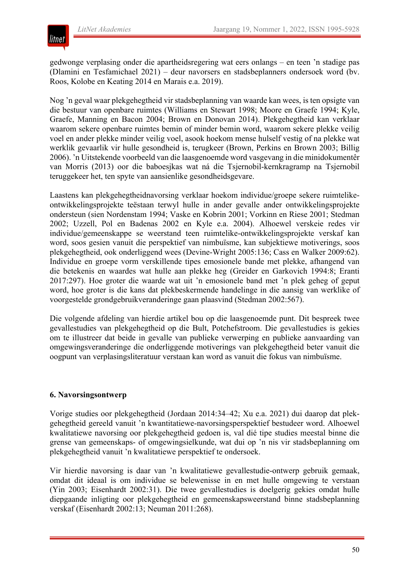

gedwonge verplasing onder die apartheidsregering wat eers onlangs – en teen 'n stadige pas (Dlamini en Tesfamichael 2021) – deur navorsers en stadsbeplanners ondersoek word (bv. Roos, Kolobe en Keating 2014 en Marais e.a. 2019).

Nog 'n geval waar plekgehegtheid vir stadsbeplanning van waarde kan wees, is ten opsigte van die bestuur van openbare ruimtes (Williams en Stewart 1998; Moore en Graefe 1994; Kyle, Graefe, Manning en Bacon 2004; Brown en Donovan 2014). Plekgehegtheid kan verklaar waarom sekere openbare ruimtes bemin of minder bemin word, waarom sekere plekke veilig voel en ander plekke minder veilig voel, asook hoekom mense hulself vestig of na plekke wat werklik gevaarlik vir hulle gesondheid is, terugkeer (Brown, Perkins en Brown 2003; Billig 2006). 'n Uitstekende voorbeeld van die laasgenoemde word vasgevang in die minidokumentêr van Morris (2013) oor die baboesjkas wat ná die Tsjernobil-kernkragramp na Tsjernobil teruggekeer het, ten spyte van aansienlike gesondheidsgevare.

Laastens kan plekgehegtheidnavorsing verklaar hoekom individue/groepe sekere ruimtelikeontwikkelingsprojekte teëstaan terwyl hulle in ander gevalle ander ontwikkelingsprojekte ondersteun (sien Nordenstam 1994; Vaske en Kobrin 2001; Vorkinn en Riese 2001; Stedman 2002; Uzzell, Pol en Badenas 2002 en Kyle e.a. 2004). Alhoewel verskeie redes vir individue/gemeenskappe se weerstand teen ruimtelike-ontwikkelingsprojekte verskaf kan word, soos gesien vanuit die perspektief van nimbuïsme, kan subjektiewe motiverings, soos plekgehegtheid, ook onderliggend wees (Devine-Wright 2005:136; Cass en Walker 2009:62). Individue en groepe vorm verskillende tipes emosionele bande met plekke, afhangend van die betekenis en waardes wat hulle aan plekke heg (Greider en Garkovich 1994:8; Eranti 2017:297). Hoe groter die waarde wat uit 'n emosionele band met 'n plek geheg of geput word, hoe groter is die kans dat plekbeskermende handelinge in die aansig van werklike of voorgestelde grondgebruikveranderinge gaan plaasvind (Stedman 2002:567).

Die volgende afdeling van hierdie artikel bou op die laasgenoemde punt. Dit bespreek twee gevallestudies van plekgehegtheid op die Bult, Potchefstroom. Die gevallestudies is gekies om te illustreer dat beide in gevalle van publieke verwerping en publieke aanvaarding van omgewingsveranderinge die onderliggende motiverings van plekgehegtheid beter vanuit die oogpunt van verplasingsliteratuur verstaan kan word as vanuit die fokus van nimbuïsme.

# **6. Navorsingsontwerp**

Vorige studies oor plekgehegtheid (Jordaan 2014:34–42; Xu e.a. 2021) dui daarop dat plekgehegtheid gereeld vanuit 'n kwantitatiewe-navorsingsperspektief bestudeer word. Alhoewel kwalitatiewe navorsing oor plekgehegtheid gedoen is, val dié tipe studies meestal binne die grense van gemeenskaps- of omgewingsielkunde, wat dui op 'n nis vir stadsbeplanning om plekgehegtheid vanuit 'n kwalitatiewe perspektief te ondersoek.

Vir hierdie navorsing is daar van 'n kwalitatiewe gevallestudie-ontwerp gebruik gemaak, omdat dit ideaal is om individue se belewenisse in en met hulle omgewing te verstaan (Yin 2003; Eisenhardt 2002:31). Die twee gevallestudies is doelgerig gekies omdat hulle diepgaande inligting oor plekgehegtheid en gemeenskapsweerstand binne stadsbeplanning verskaf (Eisenhardt 2002:13; Neuman 2011:268).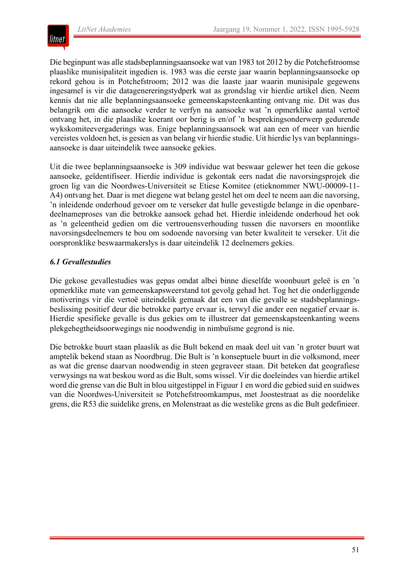

Die beginpunt was alle stadsbeplanningsaansoeke wat van 1983 tot 2012 by die Potchefstroomse plaaslike munisipaliteit ingedien is. 1983 was die eerste jaar waarin beplanningsaansoeke op rekord gehou is in Potchefstroom; 2012 was die laaste jaar waarin munisipale gegewens ingesamel is vir die datagenereringstydperk wat as grondslag vir hierdie artikel dien. Neem kennis dat nie alle beplanningsaansoeke gemeenskapsteenkanting ontvang nie. Dit was dus belangrik om die aansoeke verder te verfyn na aansoeke wat 'n opmerklike aantal vertoë ontvang het, in die plaaslike koerant oor berig is en/of 'n besprekingsonderwerp gedurende wykskomiteevergaderings was. Enige beplanningsaansoek wat aan een of meer van hierdie vereistes voldoen het, is gesien as van belang vir hierdie studie. Uit hierdie lys van beplanningsaansoeke is daar uiteindelik twee aansoeke gekies.

Uit die twee beplanningsaansoeke is 309 individue wat beswaar gelewer het teen die gekose aansoeke, geïdentifiseer. Hierdie individue is gekontak eers nadat die navorsingsprojek die groen lig van die Noordwes-Universiteit se Etiese Komitee (etieknommer NWU-00009-11- A4) ontvang het. Daar is met diegene wat belang gestel het om deel te neem aan die navorsing, 'n inleidende onderhoud gevoer om te verseker dat hulle gevestigde belange in die openbaredeelnameproses van die betrokke aansoek gehad het. Hierdie inleidende onderhoud het ook as 'n geleentheid gedien om die vertrouensverhouding tussen die navorsers en moontlike navorsingsdeelnemers te bou om sodoende navorsing van beter kwaliteit te verseker. Uit die oorspronklike beswaarmakerslys is daar uiteindelik 12 deelnemers gekies.

# *6.1 Gevallestudies*

Die gekose gevallestudies was gepas omdat albei binne dieselfde woonbuurt geleë is en 'n opmerklike mate van gemeenskapsweerstand tot gevolg gehad het. Tog het die onderliggende motiverings vir die vertoë uiteindelik gemaak dat een van die gevalle se stadsbeplanningsbeslissing positief deur die betrokke partye ervaar is, terwyl die ander een negatief ervaar is. Hierdie spesifieke gevalle is dus gekies om te illustreer dat gemeenskapsteenkanting weens plekgehegtheidsoorwegings nie noodwendig in nimbuïsme gegrond is nie.

Die betrokke buurt staan plaaslik as die Bult bekend en maak deel uit van 'n groter buurt wat amptelik bekend staan as Noordbrug. Die Bult is 'n konseptuele buurt in die volksmond, meer as wat die grense daarvan noodwendig in steen gegraveer staan. Dit beteken dat geografiese verwysings na wat beskou word as die Bult, soms wissel. Vir die doeleindes van hierdie artikel word die grense van die Bult in blou uitgestippel in Figuur 1 en word die gebied suid en suidwes van die Noordwes-Universiteit se Potchefstroomkampus, met Joostestraat as die noordelike grens, die R53 die suidelike grens, en Molenstraat as die westelike grens as die Bult gedefinieer.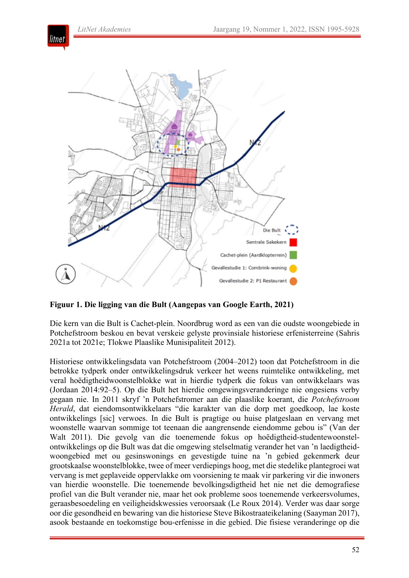litnet



**Figuur 1. Die ligging van die Bult (Aangepas van Google Earth, 2021)**

Die kern van die Bult is Cachet-plein. Noordbrug word as een van die oudste woongebiede in Potchefstroom beskou en bevat verskeie gelyste provinsiale historiese erfenisterreine (Sahris 2021a tot 2021e; Tlokwe Plaaslike Munisipaliteit 2012).

Historiese ontwikkelingsdata van Potchefstroom (2004–2012) toon dat Potchefstroom in die betrokke tydperk onder ontwikkelingsdruk verkeer het weens ruimtelike ontwikkeling, met veral hoëdigtheidwoonstelblokke wat in hierdie tydperk die fokus van ontwikkelaars was (Jordaan 2014:92–5). Op die Bult het hierdie omgewingsveranderinge nie ongesiens verby gegaan nie. In 2011 skryf 'n Potchefstromer aan die plaaslike koerant, die *Potchefstroom Herald*, dat eiendomsontwikkelaars "die karakter van die dorp met goedkoop, lae koste ontwikkelings [sic] verwoes. In die Bult is pragtige ou huise platgeslaan en vervang met woonstelle waarvan sommige tot teenaan die aangrensende eiendomme gebou is" (Van der Walt 2011). Die gevolg van die toenemende fokus op hoëdigtheid-studentewoonstelontwikkelings op die Bult was dat die omgewing stelselmatig verander het van 'n laedigtheidwoongebied met ou gesinswonings en gevestigde tuine na 'n gebied gekenmerk deur grootskaalse woonstelblokke, twee of meer verdiepings hoog, met die stedelike plantegroei wat vervang is met geplaveide oppervlakke om voorsiening te maak vir parkering vir die inwoners van hierdie woonstelle. Die toenemende bevolkingsdigtheid het nie net die demografiese profiel van die Bult verander nie, maar het ook probleme soos toenemende verkeersvolumes, geraasbesoedeling en veiligheidskwessies veroorsaak (Le Roux 2014). Verder was daar sorge oor die gesondheid en bewaring van die historiese Steve Bikostraateikelaning (Saayman 2017), asook bestaande en toekomstige bou-erfenisse in die gebied. Die fisiese veranderinge op die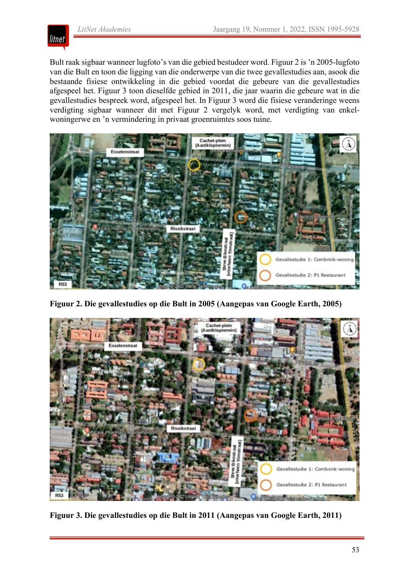litnet

Bult raak sigbaar wanneer lugfoto's van die gebied bestudeer word. Figuur 2 is 'n 2005-lugfoto van die Bult en toon die ligging van die onderwerpe van die twee gevallestudies aan, asook die bestaande fisiese ontwikkeling in die gebied voordat die gebeure van die gevallestudies afgespeel het. Figuur 3 toon dieselfde gebied in 2011, die jaar waarin die gebeure wat in die gevallestudies bespreek word, afgespeel het. In Figuur 3 word die fisiese veranderinge weens verdigting sigbaar wanneer dit met Figuur 2 vergelyk word, met verdigting van enkelwoningerwe en 'n vermindering in privaat groenruimtes soos tuine.



**Figuur 2. Die gevallestudies op die Bult in 2005 (Aangepas van Google Earth, 2005)**



**Figuur 3. Die gevallestudies op die Bult in 2011 (Aangepas van Google Earth, 2011)**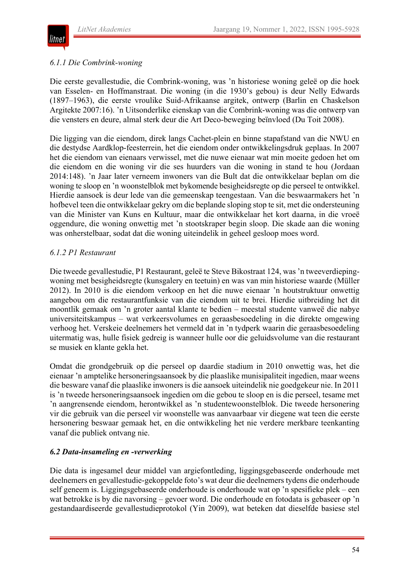

#### *6.1.1 Die Combrink-woning*

Die eerste gevallestudie, die Combrink-woning, was 'n historiese woning geleë op die hoek van Esselen- en Hoffmanstraat. Die woning (in die 1930's gebou) is deur Nelly Edwards (1897–1963), die eerste vroulike Suid-Afrikaanse argitek, ontwerp (Barlin en Chaskelson Argitekte 2007:16). 'n Uitsonderlike eienskap van die Combrink-woning was die ontwerp van die vensters en deure, almal sterk deur die Art Deco-beweging beïnvloed (Du Toit 2008).

Die ligging van die eiendom, direk langs Cachet-plein en binne stapafstand van die NWU en die destydse Aardklop-feesterrein, het die eiendom onder ontwikkelingsdruk geplaas. In 2007 het die eiendom van eienaars verwissel, met die nuwe eienaar wat min moeite gedoen het om die eiendom en die woning vir die ses huurders van die woning in stand te hou (Jordaan 2014:148). 'n Jaar later verneem inwoners van die Bult dat die ontwikkelaar beplan om die woning te sloop en 'n woonstelblok met bykomende besigheidsregte op die perseel te ontwikkel. Hierdie aansoek is deur lede van die gemeenskap teengestaan. Van die beswaarmakers het 'n hofbevel teen die ontwikkelaar gekry om die beplande sloping stop te sit, met die ondersteuning van die Minister van Kuns en Kultuur, maar die ontwikkelaar het kort daarna, in die vroeë oggendure, die woning onwettig met 'n stootskraper begin sloop. Die skade aan die woning was onherstelbaar, sodat dat die woning uiteindelik in geheel gesloop moes word.

# *6.1.2 P1 Restaurant*

Die tweede gevallestudie, P1 Restaurant, geleë te Steve Bikostraat 124, was 'n tweeverdiepingwoning met besigheidsregte (kunsgalery en teetuin) en was van min historiese waarde (Müller 2012). In 2010 is die eiendom verkoop en het die nuwe eienaar 'n houtstruktuur onwettig aangebou om die restaurantfunksie van die eiendom uit te brei. Hierdie uitbreiding het dit moontlik gemaak om 'n groter aantal klante te bedien – meestal studente vanweë die nabye universiteitskampus – wat verkeersvolumes en geraasbesoedeling in die direkte omgewing verhoog het. Verskeie deelnemers het vermeld dat in 'n tydperk waarin die geraasbesoedeling uitermatig was, hulle fisiek gedreig is wanneer hulle oor die geluidsvolume van die restaurant se musiek en klante gekla het.

Omdat die grondgebruik op die perseel op daardie stadium in 2010 onwettig was, het die eienaar 'n amptelike hersoneringsaansoek by die plaaslike munisipaliteit ingedien, maar weens die besware vanaf die plaaslike inwoners is die aansoek uiteindelik nie goedgekeur nie. In 2011 is 'n tweede hersoneringsaansoek ingedien om die gebou te sloop en is die perseel, tesame met 'n aangrensende eiendom, herontwikkel as 'n studentewoonstelblok. Die tweede hersonering vir die gebruik van die perseel vir woonstelle was aanvaarbaar vir diegene wat teen die eerste hersonering beswaar gemaak het, en die ontwikkeling het nie verdere merkbare teenkanting vanaf die publiek ontvang nie.

# *6.2 Data-insameling en -verwerking*

Die data is ingesamel deur middel van argiefontleding, liggingsgebaseerde onderhoude met deelnemers en gevallestudie-gekoppelde foto's wat deur die deelnemers tydens die onderhoude self geneem is. Liggingsgebaseerde onderhoude is onderhoude wat op 'n spesifieke plek – een wat betrokke is by die navorsing – gevoer word. Die onderhoude en fotodata is gebaseer op 'n gestandaardiseerde gevallestudieprotokol (Yin 2009), wat beteken dat dieselfde basiese stel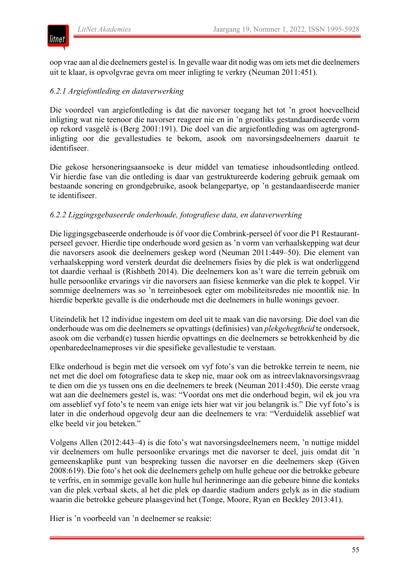

oop vrae aan al die deelnemers gestel is. In gevalle waar dit nodig was om iets met die deelnemers uit te klaar, is opvolgvrae gevra om meer inligting te verkry (Neuman 2011:451).

# *6.2.1 Argiefontleding en dataverwerking*

Die voordeel van argiefontleding is dat die navorser toegang het tot 'n groot hoeveelheid inligting wat nie teenoor die navorser reageer nie en in 'n grootliks gestandaardiseerde vorm op rekord vasgelê is (Berg 2001:191). Die doel van die argiefontleding was om agtergrondinligting oor die gevallestudies te bekom, asook om navorsingsdeelnemers daaruit te identifiseer.

Die gekose hersoneringsaansoeke is deur middel van tematiese inhoudsontleding ontleed. Vir hierdie fase van die ontleding is daar van gestruktureerde kodering gebruik gemaak om bestaande sonering en grondgebruike, asook belangepartye, op 'n gestandaardiseerde manier te identifiseer.

#### *6.2.2 Liggingsgebaseerde onderhoude, fotografiese data, en dataverwerking*

Die liggingsgebaseerde onderhoude is óf voor die Combrink-perseel óf voor die P1 Restaurantperseel gevoer. Hierdie tipe onderhoude word gesien as 'n vorm van verhaalskepping wat deur die navorsers asook die deelnemers geskep word (Neuman 2011:449–50). Die element van verhaalskepping word versterk deurdat die deelnemers fisies by die plek is wat onderliggend tot daardie verhaal is (Rishbeth 2014). Die deelnemers kon as't ware die terrein gebruik om hulle persoonlike ervarings vir die navorsers aan fisiese kenmerke van die plek te koppel. Vir sommige deelnemers was so 'n terreinbesoek egter om mobiliteitsredes nie moontlik nie. In hierdie beperkte gevalle is die onderhoude met die deelnemers in hulle wonings gevoer.

Uiteindelik het 12 individue ingestem om deel uit te maak van die navorsing. Die doel van die onderhoude was om die deelnemers se opvattings (definisies) van *plekgehegtheid* te ondersoek, asook om die verband(e) tussen hierdie opvattings en die deelnemers se betrokkenheid by die openbaredeelnameproses vir die spesifieke gevallestudie te verstaan.

Elke onderhoud is begin met die versoek om vyf foto's van die betrokke terrein te neem, nie net met die doel om fotografiese data te skep nie, maar ook om as intreevlaknavorsingsvraag te dien om die ys tussen ons en die deelnemers te breek (Neuman 2011:450). Die eerste vraag wat aan die deelnemers gestel is, was: "Voordat ons met die onderhoud begin, wil ek jou vra om asseblief vyf foto's te neem van enige iets hier wat vir jou belangrik is." Die vyf foto's is later in die onderhoud opgevolg deur aan die deelnemers te vra: "Verduidelik asseblief wat elke beeld vir jou beteken."

Volgens Allen (2012:443–4) is die foto's wat navorsingsdeelnemers neem, 'n nuttige middel vir deelnemers om hulle persoonlike ervarings met die navorser te deel, juis omdat dit 'n gemeenskaplike punt van bespreking tussen die navorser en die deelnemers skep (Given 2008:619). Die foto's het ook die deelnemers gehelp om hulle geheue oor die betrokke gebeure te verfris, en in sommige gevalle kon hulle hul herinneringe aan die gebeure binne die konteks van die plek verbaal skets, al het die plek op daardie stadium anders gelyk as in die stadium waarin die betrokke gebeure plaasgevind het (Tonge, Moore, Ryan en Beckley 2013:41).

Hier is 'n voorbeeld van 'n deelnemer se reaksie: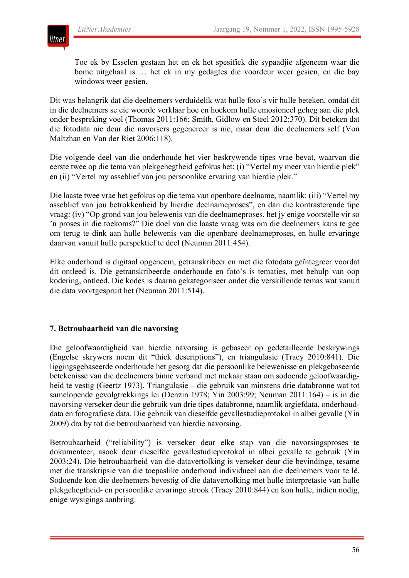

Toe ek by Esselen gestaan het en ek het spesifiek die sypaadjie afgeneem waar die bome uitgehaal is … het ek in my gedagtes die voordeur weer gesien, en die bay windows weer gesien.

Dit was belangrik dat die deelnemers verduidelik wat hulle foto's vir hulle beteken, omdat dit in die deelnemers se eie woorde verklaar hoe en hoekom hulle emosioneel geheg aan die plek onder bespreking voel (Thomas 2011:166; Smith, Gidlow en Steel 2012:370). Dit beteken dat die fotodata nie deur die navorsers gegenereer is nie, maar deur die deelnemers self (Von Maltzhan en Van der Riet 2006:118).

Die volgende deel van die onderhoude het vier beskrywende tipes vrae bevat, waarvan die eerste twee op die tema van plekgehegtheid gefokus het: (i) "Vertel my meer van hierdie plek" en (ii) "Vertel my asseblief van jou persoonlike ervaring van hierdie plek."

Die laaste twee vrae het gefokus op die tema van openbare deelname, naamlik: (iii) "Vertel my asseblief van jou betrokkenheid by hierdie deelnameproses", en dan die kontrasterende tipe vraag: (iv) "Op grond van jou belewenis van die deelnameproses, het jy enige voorstelle vir so 'n proses in die toekoms?" Die doel van die laaste vraag was om die deelnemers kans te gee om terug te dink aan hulle belewenis van die openbare deelnameproses, en hulle ervaringe daarvan vanuit hulle perspektief te deel (Neuman 2011:454).

Elke onderhoud is digitaal opgeneem, getranskribeer en met die fotodata geïntegreer voordat dit ontleed is. Die getranskribeerde onderhoude en foto's is tematies, met behulp van oop kodering, ontleed. Die kodes is daarna gekategoriseer onder die verskillende temas wat vanuit die data voortgespruit het (Neuman 2011:514).

# **7. Betroubaarheid van die navorsing**

Die geloofwaardigheid van hierdie navorsing is gebaseer op gedetailleerde beskrywings (Engelse skrywers noem dit "thick descriptions"), en triangulasie (Tracy 2010:841). Die liggingsgebaseerde onderhoude het gesorg dat die persoonlike belewenisse en plekgebaseerde betekenisse van die deelnemers binne verband met mekaar staan om sodoende geloofwaardigheid te vestig (Geertz 1973). Triangulasie – die gebruik van minstens drie databronne wat tot samelopende gevolgtrekkings lei (Denzin 1978; Yin 2003:99; Neuman 2011:164) – is in die navorsing verseker deur die gebruik van drie tipes databronne, naamlik argiefdata, onderhouddata en fotografiese data. Die gebruik van dieselfde gevallestudieprotokol in albei gevalle (Yin 2009) dra by tot die betroubaarheid van hierdie navorsing.

Betroubaarheid ("reliability") is verseker deur elke stap van die navorsingsproses te dokumenteer, asook deur dieselfde gevallestudieprotokol in albei gevalle te gebruik (Yin 2003:24). Die betroubaarheid van die datavertolking is verseker deur die bevindinge, tesame met die transkripsie van die toepaslike onderhoud individueel aan die deelnemers voor te lê. Sodoende kon die deelnemers bevestig of die datavertolking met hulle interpretasie van hulle plekgehegtheid- en persoonlike ervaringe strook (Tracy 2010:844) en kon hulle, indien nodig, enige wysigings aanbring.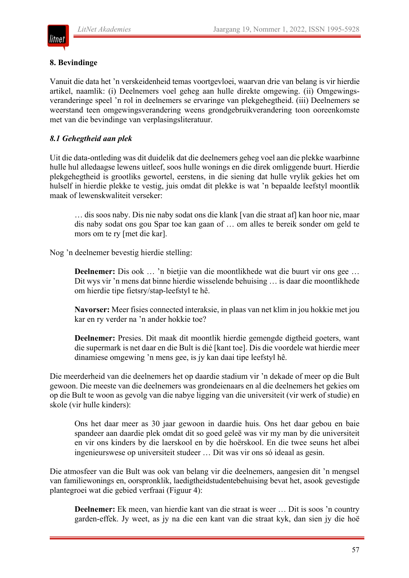

### **8. Bevindinge**

Vanuit die data het 'n verskeidenheid temas voortgevloei, waarvan drie van belang is vir hierdie artikel, naamlik: (i) Deelnemers voel geheg aan hulle direkte omgewing. (ii) Omgewingsveranderinge speel 'n rol in deelnemers se ervaringe van plekgehegtheid. (iii) Deelnemers se weerstand teen omgewingsverandering weens grondgebruikverandering toon ooreenkomste met van die bevindinge van verplasingsliteratuur.

# *8.1 Gehegtheid aan plek*

Uit die data-ontleding was dit duidelik dat die deelnemers geheg voel aan die plekke waarbinne hulle hul alledaagse lewens uitleef, soos hulle wonings en die direk omliggende buurt. Hierdie plekgehegtheid is grootliks gewortel, eerstens, in die siening dat hulle vrylik gekies het om hulself in hierdie plekke te vestig, juis omdat dit plekke is wat 'n bepaalde leefstyl moontlik maak of lewenskwaliteit verseker:

… dis soos naby. Dis nie naby sodat ons die klank [van die straat af] kan hoor nie, maar dis naby sodat ons gou Spar toe kan gaan of … om alles te bereik sonder om geld te mors om te ry [met die kar].

Nog 'n deelnemer bevestig hierdie stelling:

**Deelnemer:** Dis ook … 'n bietjie van die moontlikhede wat die buurt vir ons gee … Dit wys vir 'n mens dat binne hierdie wisselende behuising … is daar die moontlikhede om hierdie tipe fietsry/stap-leefstyl te hê.

**Navorser:** Meer fisies connected interaksie, in plaas van net klim in jou hokkie met jou kar en ry verder na 'n ander hokkie toe?

**Deelnemer:** Presies. Dit maak dit moontlik hierdie gemengde digtheid goeters, want die supermark is net daar en die Bult is dié [kant toe]. Dis die voordele wat hierdie meer dinamiese omgewing 'n mens gee, is jy kan daai tipe leefstyl hê.

Die meerderheid van die deelnemers het op daardie stadium vir 'n dekade of meer op die Bult gewoon. Die meeste van die deelnemers was grondeienaars en al die deelnemers het gekies om op die Bult te woon as gevolg van die nabye ligging van die universiteit (vir werk of studie) en skole (vir hulle kinders):

Ons het daar meer as 30 jaar gewoon in daardie huis. Ons het daar gebou en baie spandeer aan daardie plek omdat dit so goed geleë was vir my man by die universiteit en vir ons kinders by die laerskool en by die hoërskool. En die twee seuns het albei ingenieurswese op universiteit studeer … Dit was vir ons só ideaal as gesin.

Die atmosfeer van die Bult was ook van belang vir die deelnemers, aangesien dit 'n mengsel van familiewonings en, oorspronklik, laedigtheidstudentebehuising bevat het, asook gevestigde plantegroei wat die gebied verfraai (Figuur 4):

**Deelnemer:** Ek meen, van hierdie kant van die straat is weer … Dit is soos 'n country garden-effek. Jy weet, as jy na die een kant van die straat kyk, dan sien jy die hoë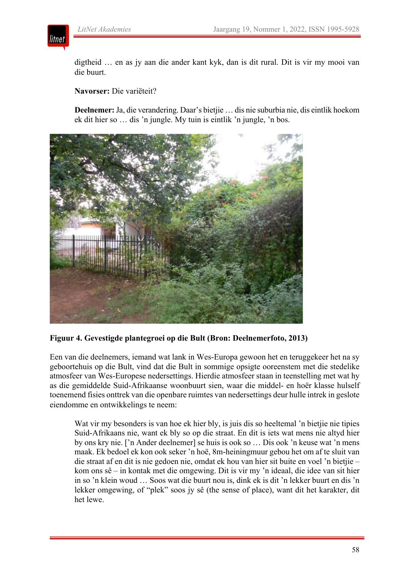

digtheid … en as jy aan die ander kant kyk, dan is dit rural. Dit is vir my mooi van die buurt.

**Navorser:** Die variëteit?

**Deelnemer:** Ja, die verandering. Daar's bietjie … dis nie suburbia nie, dis eintlik hoekom ek dit hier so … dis 'n jungle. My tuin is eintlik 'n jungle, 'n bos.



#### **Figuur 4. Gevestigde plantegroei op die Bult (Bron: Deelnemerfoto, 2013)**

Een van die deelnemers, iemand wat lank in Wes-Europa gewoon het en teruggekeer het na sy geboortehuis op die Bult, vind dat die Bult in sommige opsigte ooreenstem met die stedelike atmosfeer van Wes-Europese nedersettings. Hierdie atmosfeer staan in teenstelling met wat hy as die gemiddelde Suid-Afrikaanse woonbuurt sien, waar die middel- en hoër klasse hulself toenemend fisies onttrek van die openbare ruimtes van nedersettings deur hulle intrek in geslote eiendomme en ontwikkelings te neem:

Wat vir my besonders is van hoe ek hier bly, is juis dis so heeltemal 'n bietjie nie tipies Suid-Afrikaans nie, want ek bly so op die straat. En dit is iets wat mens nie altyd hier by ons kry nie. ['n Ander deelnemer] se huis is ook so … Dis ook 'n keuse wat 'n mens maak. Ek bedoel ek kon ook seker 'n hoë, 8m-heiningmuur gebou het om af te sluit van die straat af en dit is nie gedoen nie, omdat ek hou van hier sit buite en voel 'n bietjie – kom ons sê – in kontak met die omgewing. Dit is vir my 'n ideaal, die idee van sit hier in so 'n klein woud … Soos wat die buurt nou is, dink ek is dit 'n lekker buurt en dis 'n lekker omgewing, of "plek" soos jy sê (the sense of place), want dit het karakter, dit het lewe.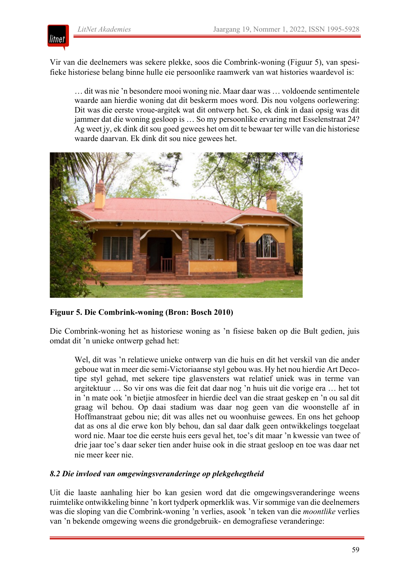

Vir van die deelnemers was sekere plekke, soos die Combrink-woning (Figuur 5), van spesifieke historiese belang binne hulle eie persoonlike raamwerk van wat histories waardevol is:

… dit was nie 'n besondere mooi woning nie. Maar daar was … voldoende sentimentele waarde aan hierdie woning dat dit beskerm moes word. Dis nou volgens oorlewering: Dit was die eerste vroue-argitek wat dit ontwerp het. So, ek dink in daai opsig was dit jammer dat die woning gesloop is … So my persoonlike ervaring met Esselenstraat 24? Ag weet jy, ek dink dit sou goed gewees het om dit te bewaar ter wille van die historiese waarde daarvan. Ek dink dit sou nice gewees het.



# **Figuur 5. Die Combrink-woning (Bron: Bosch 2010)**

Die Combrink-woning het as historiese woning as 'n fisiese baken op die Bult gedien, juis omdat dit 'n unieke ontwerp gehad het:

Wel, dit was 'n relatiewe unieke ontwerp van die huis en dit het verskil van die ander geboue wat in meer die semi-Victoriaanse styl gebou was. Hy het nou hierdie Art Decotipe styl gehad, met sekere tipe glasvensters wat relatief uniek was in terme van argitektuur … So vir ons was die feit dat daar nog 'n huis uit die vorige era … het tot in 'n mate ook 'n bietjie atmosfeer in hierdie deel van die straat geskep en 'n ou sal dit graag wil behou. Op daai stadium was daar nog geen van die woonstelle af in Hoffmanstraat gebou nie; dit was alles net ou woonhuise gewees. En ons het gehoop dat as ons al die erwe kon bly behou, dan sal daar dalk geen ontwikkelings toegelaat word nie. Maar toe die eerste huis eers geval het, toe's dit maar 'n kwessie van twee of drie jaar toe's daar seker tien ander huise ook in die straat gesloop en toe was daar net nie meer keer nie.

# *8.2 Die invloed van omgewingsveranderinge op plekgehegtheid*

Uit die laaste aanhaling hier bo kan gesien word dat die omgewingsveranderinge weens ruimtelike ontwikkeling binne 'n kort tydperk opmerklik was. Vir sommige van die deelnemers was die sloping van die Combrink-woning 'n verlies, asook 'n teken van die *moontlike* verlies van 'n bekende omgewing weens die grondgebruik- en demografiese veranderinge: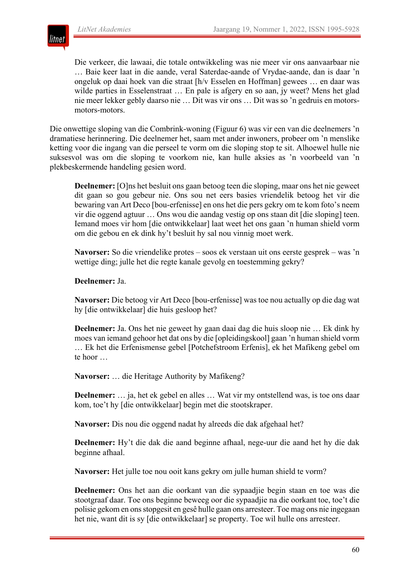

Die verkeer, die lawaai, die totale ontwikkeling was nie meer vir ons aanvaarbaar nie … Baie keer laat in die aande, veral Saterdae-aande of Vrydae-aande, dan is daar 'n ongeluk op daai hoek van die straat [h/v Esselen en Hoffman] gewees … en daar was wilde parties in Esselenstraat … En pale is afgery en so aan, jy weet? Mens het glad nie meer lekker gebly daarso nie … Dit was vir ons … Dit was so 'n gedruis en motorsmotors-motors.

Die onwettige sloping van die Combrink-woning (Figuur 6) was vir een van die deelnemers 'n dramatiese herinnering. Die deelnemer het, saam met ander inwoners, probeer om 'n menslike ketting voor die ingang van die perseel te vorm om die sloping stop te sit. Alhoewel hulle nie suksesvol was om die sloping te voorkom nie, kan hulle aksies as 'n voorbeeld van 'n plekbeskermende handeling gesien word.

**Deelnemer:** [O]ns het besluit ons gaan betoog teen die sloping, maar ons het nie geweet dit gaan so gou gebeur nie. Ons sou net eers basies vriendelik betoog het vir die bewaring van Art Deco [bou-erfenisse] en ons het die pers gekry om te kom foto's neem vir die oggend agtuur … Ons wou die aandag vestig op ons staan dit [die sloping] teen. Iemand moes vir hom [die ontwikkelaar] laat weet het ons gaan 'n human shield vorm om die gebou en ek dink hy't besluit hy sal nou vinnig moet werk.

**Navorser:** So die vriendelike protes – soos ek verstaan uit ons eerste gesprek – was 'n wettige ding; julle het die regte kanale gevolg en toestemming gekry?

#### **Deelnemer:** Ja.

**Navorser:** Die betoog vir Art Deco [bou-erfenisse] was toe nou actually op die dag wat hy [die ontwikkelaar] die huis gesloop het?

**Deelnemer:** Ja. Ons het nie geweet hy gaan daai dag die huis sloop nie … Ek dink hy moes van iemand gehoor het dat ons by die [opleidingskool] gaan 'n human shield vorm … Ek het die Erfenismense gebel [Potchefstroom Erfenis], ek het Mafikeng gebel om te hoor …

**Navorser:** … die Heritage Authority by Mafikeng?

**Deelnemer:** … ja, het ek gebel en alles … Wat vir my ontstellend was, is toe ons daar kom, toe't hy [die ontwikkelaar] begin met die stootskraper.

**Navorser:** Dis nou die oggend nadat hy alreeds die dak afgehaal het?

**Deelnemer:** Hy't die dak die aand beginne afhaal, nege-uur die aand het hy die dak beginne afhaal.

**Navorser:** Het julle toe nou ooit kans gekry om julle human shield te vorm?

**Deelnemer:** Ons het aan die oorkant van die sypaadjie begin staan en toe was die stootgraaf daar. Toe ons beginne beweeg oor die sypaadjie na die oorkant toe, toe't die polisie gekom en ons stopgesit en gesê hulle gaan ons arresteer. Toe mag ons nie ingegaan het nie, want dit is sy [die ontwikkelaar] se property. Toe wil hulle ons arresteer.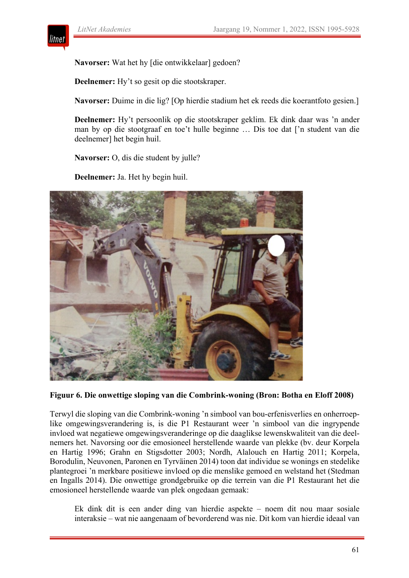

**Navorser:** Wat het hy [die ontwikkelaar] gedoen?

**Deelnemer:** Hy't so gesit op die stootskraper.

**Navorser:** Duime in die lig? [Op hierdie stadium het ek reeds die koerantfoto gesien.]

**Deelnemer:** Hy't persoonlik op die stootskraper geklim. Ek dink daar was 'n ander man by op die stootgraaf en toe't hulle beginne … Dis toe dat ['n student van die deelnemer] het begin huil.

**Navorser:** O, dis die student by julle?

**Deelnemer:** Ja. Het hy begin huil.



#### **Figuur 6. Die onwettige sloping van die Combrink-woning (Bron: Botha en Eloff 2008)**

Terwyl die sloping van die Combrink-woning 'n simbool van bou-erfenisverlies en onherroeplike omgewingsverandering is, is die P1 Restaurant weer 'n simbool van die ingrypende invloed wat negatiewe omgewingsveranderinge op die daaglikse lewenskwaliteit van die deelnemers het. Navorsing oor die emosioneel herstellende waarde van plekke (bv. deur Korpela en Hartig 1996; Grahn en Stigsdotter 2003; Nordh, Alalouch en Hartig 2011; Korpela, Borodulin, Neuvonen, Paronen en Tyrväinen 2014) toon dat individue se wonings en stedelike plantegroei 'n merkbare positiewe invloed op die menslike gemoed en welstand het (Stedman en Ingalls 2014). Die onwettige grondgebruike op die terrein van die P1 Restaurant het die emosioneel herstellende waarde van plek ongedaan gemaak:

Ek dink dit is een ander ding van hierdie aspekte – noem dit nou maar sosiale interaksie – wat nie aangenaam of bevorderend was nie. Dit kom van hierdie ideaal van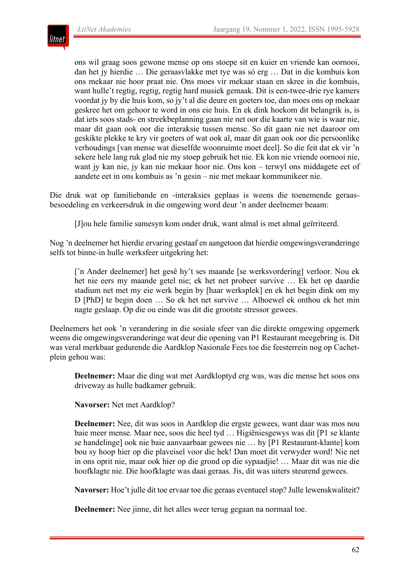

ons wil graag soos gewone mense op ons stoepe sit en kuier en vriende kan oornooi, dan het jy hierdie … Die geraasvlakke met tye was só erg … Dat in die kombuis kon ons mekaar nie hoor praat nie. Ons moes vir mekaar staan en skree in die kombuis, want hulle't regtig, regtig, regtig hard musiek gemaak. Dit is een-twee-drie rye kamers voordat jy by die huis kom, so jy't al die deure en goeters toe, dan moes ons op mekaar geskree het om gehoor te word in ons eie huis. En ek dink hoekom dit belangrik is, is dat iets soos stads- en streekbeplanning gaan nie net oor die kaarte van wie is waar nie, maar dit gaan ook oor die interaksie tussen mense. So dit gaan nie net daaroor om geskikte plekke te kry vir goeters of wat ook al, maar dit gaan ook oor die persoonlike verhoudings [van mense wat dieselfde woonruimte moet deel]. So die feit dat ek vir 'n sekere hele lang ruk glad nie my stoep gebruik het nie. Ek kon nie vriende oornooi nie, want jy kan nie, jy kan nie mekaar hoor nie. Ons kon – terwyl ons middagete eet of aandete eet in ons kombuis as 'n gesin – nie met mekaar kommunikeer nie.

Die druk wat op familiebande en -interaksies geplaas is weens die toenemende geraasbesoedeling en verkeersdruk in die omgewing word deur 'n ander deelnemer beaam:

[J]ou hele familie samesyn kom onder druk, want almal is met almal geïrriteerd.

Nog 'n deelnemer het hierdie ervaring gestaaf en aangetoon dat hierdie omgewingsveranderinge selfs tot binne-in hulle werksfeer uitgekring het:

['n Ander deelnemer] het gesê hy't ses maande [se werksvordering] verloor. Nou ek het nie eers my maande getel nie; ek het net probeer survive … Ek het op daardie stadium net met my eie werk begin by [haar werksplek] en ek het begin dink om my D [PhD] te begin doen … So ek het net survive … Alhoewel ek onthou ek het min nagte geslaap. Op die ou einde was dit die grootste stressor gewees.

Deelnemers het ook 'n verandering in die sosiale sfeer van die direkte omgewing opgemerk weens die omgewingsveranderinge wat deur die opening van P1 Restaurant meegebring is. Dit was veral merkbaar gedurende die Aardklop Nasionale Fees toe die feesterrein nog op Cachetplein gehou was:

**Deelnemer:** Maar die ding wat met Aardkloptyd erg was, was die mense het soos ons driveway as hulle badkamer gebruik.

**Navorser:** Net met Aardklop?

**Deelnemer:** Nee, dit was soos in Aardklop die ergste gewees, want daar was mos nou baie meer mense. Maar nee, soos die heel tyd … Higiëniesgewys was dit [P1 se klante se handelinge] ook nie baie aanvaarbaar gewees nie … hy [P1 Restaurant-klante] kom bou sy hoop hier op die plaveisel voor die hek! Dan moet dit verwyder word! Nie net in ons oprit nie, maar ook hier op die grond op die sypaadjie! … Maar dit was nie die hoofklagte nie. Die hoofklagte was daai geraas. Jis, dit was uiters steurend gewees.

**Navorser:** Hoe't julle dit toe ervaar toe die geraas eventueel stop? Julle lewenskwaliteit?

**Deelnemer:** Nee jinne, dit het alles weer terug gegaan na normaal toe.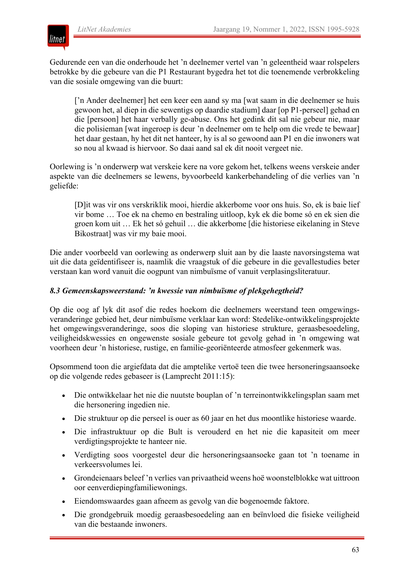

Gedurende een van die onderhoude het 'n deelnemer vertel van 'n geleentheid waar rolspelers betrokke by die gebeure van die P1 Restaurant bygedra het tot die toenemende verbrokkeling van die sosiale omgewing van die buurt:

['n Ander deelnemer] het een keer een aand sy ma [wat saam in die deelnemer se huis gewoon het, al diep in die sewentigs op daardie stadium] daar [op P1-perseel] gehad en die [persoon] het haar verbally ge-abuse. Ons het gedink dit sal nie gebeur nie, maar die polisieman [wat ingeroep is deur 'n deelnemer om te help om die vrede te bewaar] het daar gestaan, hy het dit net hanteer, hy is al so gewoond aan P1 en die inwoners wat so nou al kwaad is hiervoor. So daai aand sal ek dit nooit vergeet nie.

Oorlewing is 'n onderwerp wat verskeie kere na vore gekom het, telkens weens verskeie ander aspekte van die deelnemers se lewens, byvoorbeeld kankerbehandeling of die verlies van 'n geliefde:

[D]it was vir ons verskriklik mooi, hierdie akkerbome voor ons huis. So, ek is baie lief vir bome … Toe ek na chemo en bestraling uitloop, kyk ek die bome só en ek sien die groen kom uit … Ek het só gehuil … die akkerbome [die historiese eikelaning in Steve Bikostraat] was vir my baie mooi.

Die ander voorbeeld van oorlewing as onderwerp sluit aan by die laaste navorsingstema wat uit die data geïdentifiseer is, naamlik die vraagstuk of die gebeure in die gevallestudies beter verstaan kan word vanuit die oogpunt van nimbuïsme of vanuit verplasingsliteratuur.

# *8.3 Gemeenskapsweerstand: 'n kwessie van nimbuïsme of plekgehegtheid?*

Op die oog af lyk dit asof die redes hoekom die deelnemers weerstand teen omgewingsveranderinge gebied het, deur nimbuïsme verklaar kan word: Stedelike-ontwikkelingsprojekte het omgewingsveranderinge, soos die sloping van historiese strukture, geraasbesoedeling, veiligheidskwessies en ongewenste sosiale gebeure tot gevolg gehad in 'n omgewing wat voorheen deur 'n historiese, rustige, en familie-georiënteerde atmosfeer gekenmerk was.

Opsommend toon die argiefdata dat die amptelike vertoë teen die twee hersoneringsaansoeke op die volgende redes gebaseer is (Lamprecht 2011:15):

- Die ontwikkelaar het nie die nuutste bouplan of 'n terreinontwikkelingsplan saam met die hersonering ingedien nie.
- Die struktuur op die perseel is ouer as 60 jaar en het dus moontlike historiese waarde.
- Die infrastruktuur op die Bult is verouderd en het nie die kapasiteit om meer verdigtingsprojekte te hanteer nie.
- Verdigting soos voorgestel deur die hersoneringsaansoeke gaan tot 'n toename in verkeersvolumes lei.
- Grondeienaars beleef 'n verlies van privaatheid weens hoë woonstelblokke wat uittroon oor eenverdiepingfamiliewonings.
- Eiendomswaardes gaan afneem as gevolg van die bogenoemde faktore.
- Die grondgebruik moedig geraasbesoedeling aan en beïnvloed die fisieke veiligheid van die bestaande inwoners.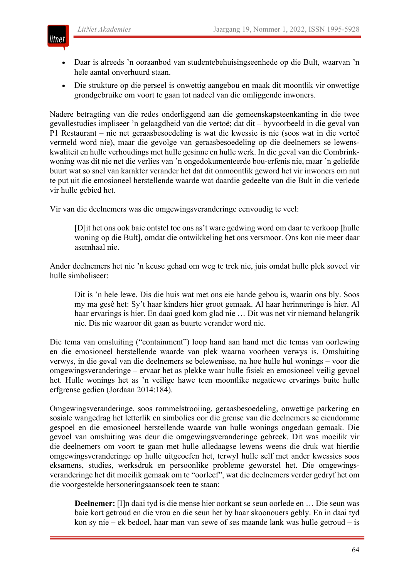

- Daar is alreeds 'n ooraanbod van studentebehuisingseenhede op die Bult, waarvan 'n hele aantal onverhuurd staan.
- Die strukture op die perseel is onwettig aangebou en maak dit moontlik vir onwettige grondgebruike om voort te gaan tot nadeel van die omliggende inwoners.

Nadere betragting van die redes onderliggend aan die gemeenskapsteenkanting in die twee gevallestudies impliseer 'n gelaagdheid van die vertoë; dat dit – byvoorbeeld in die geval van P1 Restaurant – nie net geraasbesoedeling is wat die kwessie is nie (soos wat in die vertoë vermeld word nie), maar die gevolge van geraasbesoedeling op die deelnemers se lewenskwaliteit en hulle verhoudings met hulle gesinne en hulle werk. In die geval van die Combrinkwoning was dit nie net die verlies van 'n ongedokumenteerde bou-erfenis nie, maar 'n geliefde buurt wat so snel van karakter verander het dat dit onmoontlik geword het vir inwoners om nut te put uit die emosioneel herstellende waarde wat daardie gedeelte van die Bult in die verlede vir hulle gebied het.

Vir van die deelnemers was die omgewingsveranderinge eenvoudig te veel:

[D]it het ons ook baie ontstel toe ons as't ware gedwing word om daar te verkoop [hulle woning op die Bult], omdat die ontwikkeling het ons versmoor. Ons kon nie meer daar asemhaal nie.

Ander deelnemers het nie 'n keuse gehad om weg te trek nie, juis omdat hulle plek soveel vir hulle simboliseer:

Dit is 'n hele lewe. Dis die huis wat met ons eie hande gebou is, waarin ons bly. Soos my ma gesê het: Sy't haar kinders hier groot gemaak. Al haar herinneringe is hier. Al haar ervarings is hier. En daai goed kom glad nie … Dit was net vir niemand belangrik nie. Dis nie waaroor dit gaan as buurte verander word nie.

Die tema van omsluiting ("containment") loop hand aan hand met die temas van oorlewing en die emosioneel herstellende waarde van plek waarna voorheen verwys is. Omsluiting verwys, in die geval van die deelnemers se belewenisse, na hoe hulle hul wonings – voor die omgewingsveranderinge – ervaar het as plekke waar hulle fisiek en emosioneel veilig gevoel het. Hulle wonings het as 'n veilige hawe teen moontlike negatiewe ervarings buite hulle erfgrense gedien (Jordaan 2014:184).

Omgewingsveranderinge, soos rommelstrooiing, geraasbesoedeling, onwettige parkering en sosiale wangedrag het letterlik en simbolies oor die grense van die deelnemers se eiendomme gespoel en die emosioneel herstellende waarde van hulle wonings ongedaan gemaak. Die gevoel van omsluiting was deur die omgewingsveranderinge gebreek. Dit was moeilik vir die deelnemers om voort te gaan met hulle alledaagse lewens weens die druk wat hierdie omgewingsveranderinge op hulle uitgeoefen het, terwyl hulle self met ander kwessies soos eksamens, studies, werksdruk en persoonlike probleme geworstel het. Die omgewingsveranderinge het dit moeilik gemaak om te "oorleef", wat die deelnemers verder gedryf het om die voorgestelde hersoneringsaansoek teen te staan:

**Deelnemer:** [I]n daai tyd is die mense hier oorkant se seun oorlede en … Die seun was baie kort getroud en die vrou en die seun het by haar skoonouers gebly. En in daai tyd kon sy nie – ek bedoel, haar man van sewe of ses maande lank was hulle getroud – is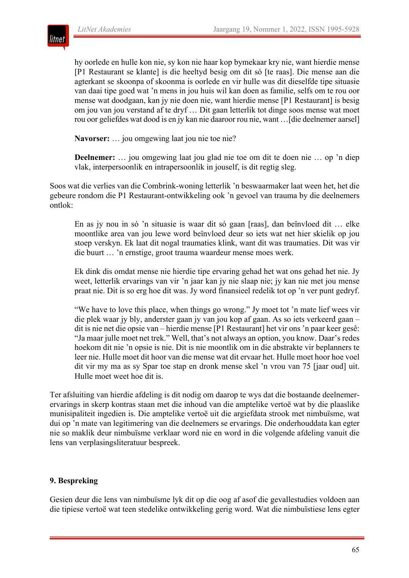

hy oorlede en hulle kon nie, sy kon nie haar kop bymekaar kry nie, want hierdie mense [P1 Restaurant se klante] is die heeltyd besig om dit só [te raas]. Die mense aan die agterkant se skoonpa of skoonma is oorlede en vir hulle was dit dieselfde tipe situasie van daai tipe goed wat 'n mens in jou huis wil kan doen as familie, selfs om te rou oor mense wat doodgaan, kan jy nie doen nie, want hierdie mense [P1 Restaurant] is besig om jou van jou verstand af te dryf … Dit gaan letterlik tot dinge soos mense wat moet rou oor geliefdes wat dood is en jy kan nie daaroor rou nie, want …[die deelnemer aarsel]

**Navorser:** … jou omgewing laat jou nie toe nie?

**Deelnemer:** … jou omgewing laat jou glad nie toe om dit te doen nie … op 'n diep vlak, interpersoonlik en intrapersoonlik in jouself, is dit regtig sleg.

Soos wat die verlies van die Combrink-woning letterlik 'n beswaarmaker laat ween het, het die gebeure rondom die P1 Restaurant-ontwikkeling ook 'n gevoel van trauma by die deelnemers ontlok:

En as jy nou in só 'n situasie is waar dit só gaan [raas], dan beïnvloed dit … elke moontlike area van jou lewe word beïnvloed deur so iets wat net hier skielik op jou stoep verskyn. Ek laat dit nogal traumaties klink, want dit was traumaties. Dit was vir die buurt … 'n ernstige, groot trauma waardeur mense moes werk.

Ek dink dis omdat mense nie hierdie tipe ervaring gehad het wat ons gehad het nie. Jy weet, letterlik ervarings van vir 'n jaar kan jy nie slaap nie; jy kan nie met jou mense praat nie. Dit is so erg hoe dit was. Jy word finansieel redelik tot op 'n ver punt gedryf.

"We have to love this place, when things go wrong." Jy moet tot 'n mate lief wees vir die plek waar jy bly, anderster gaan jy van jou kop af gaan. As so iets verkeerd gaan – dit is nie net die opsie van – hierdie mense [P1 Restaurant] het vir ons 'n paar keer gesê: "Ja maar julle moet net trek." Well, that's not always an option, you know. Daar's redes hoekom dit nie 'n opsie is nie. Dit is nie moontlik om in die abstrakte vir beplanners te leer nie. Hulle moet dit hoor van die mense wat dit ervaar het. Hulle moet hoor hoe voel dit vir my ma as sy Spar toe stap en dronk mense skel 'n vrou van 75 [jaar oud] uit. Hulle moet weet hoe dit is.

Ter afsluiting van hierdie afdeling is dit nodig om daarop te wys dat die bostaande deelnemerervarings in skerp kontras staan met die inhoud van die amptelike vertoë wat by die plaaslike munisipaliteit ingedien is. Die amptelike vertoë uit die argiefdata strook met nimbuïsme, wat dui op 'n mate van legitimering van die deelnemers se ervarings. Die onderhouddata kan egter nie so maklik deur nimbuïsme verklaar word nie en word in die volgende afdeling vanuit die lens van verplasingsliteratuur bespreek.

# **9. Bespreking**

Gesien deur die lens van nimbuïsme lyk dit op die oog af asof die gevallestudies voldoen aan die tipiese vertoë wat teen stedelike ontwikkeling gerig word. Wat die nimbuïstiese lens egter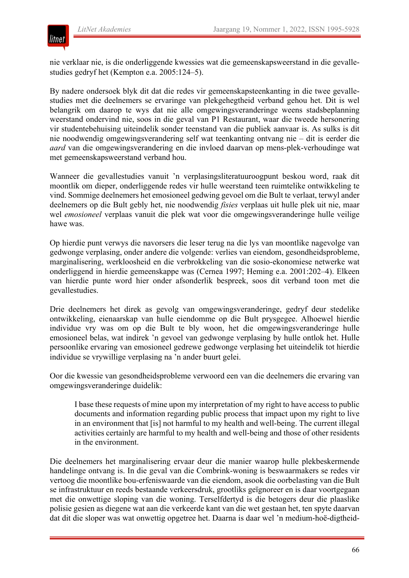

nie verklaar nie, is die onderliggende kwessies wat die gemeenskapsweerstand in die gevallestudies gedryf het (Kempton e.a. 2005:124–5).

By nadere ondersoek blyk dit dat die redes vir gemeenskapsteenkanting in die twee gevallestudies met die deelnemers se ervaringe van plekgehegtheid verband gehou het. Dit is wel belangrik om daarop te wys dat nie alle omgewingsveranderinge weens stadsbeplanning weerstand ondervind nie, soos in die geval van P1 Restaurant, waar die tweede hersonering vir studentebehuising uiteindelik sonder teenstand van die publiek aanvaar is. As sulks is dit nie noodwendig omgewingsverandering self wat teenkanting ontvang nie – dit is eerder die *aard* van die omgewingsverandering en die invloed daarvan op mens-plek-verhoudinge wat met gemeenskapsweerstand verband hou.

Wanneer die gevallestudies vanuit 'n verplasingsliteratuuroogpunt beskou word, raak dit moontlik om dieper, onderliggende redes vir hulle weerstand teen ruimtelike ontwikkeling te vind. Sommige deelnemers het emosioneel gedwing gevoel om die Bult te verlaat, terwyl ander deelnemers op die Bult gebly het, nie noodwendig *fisies* verplaas uit hulle plek uit nie, maar wel *emosioneel* verplaas vanuit die plek wat voor die omgewingsveranderinge hulle veilige hawe was.

Op hierdie punt verwys die navorsers die leser terug na die lys van moontlike nagevolge van gedwonge verplasing, onder andere die volgende: verlies van eiendom, gesondheidsprobleme, marginalisering, werkloosheid en die verbrokkeling van die sosio-ekonomiese netwerke wat onderliggend in hierdie gemeenskappe was (Cernea 1997; Heming e.a. 2001:202–4). Elkeen van hierdie punte word hier onder afsonderlik bespreek, soos dit verband toon met die gevallestudies.

Drie deelnemers het direk as gevolg van omgewingsveranderinge, gedryf deur stedelike ontwikkeling, eienaarskap van hulle eiendomme op die Bult prysgegee. Alhoewel hierdie individue vry was om op die Bult te bly woon, het die omgewingsveranderinge hulle emosioneel belas, wat indirek 'n gevoel van gedwonge verplasing by hulle ontlok het. Hulle persoonlike ervaring van emosioneel gedrewe gedwonge verplasing het uiteindelik tot hierdie individue se vrywillige verplasing na 'n ander buurt gelei.

Oor die kwessie van gesondheidsprobleme verwoord een van die deelnemers die ervaring van omgewingsveranderinge duidelik:

I base these requests of mine upon my interpretation of my right to have access to public documents and information regarding public process that impact upon my right to live in an environment that [is] not harmful to my health and well-being. The current illegal activities certainly are harmful to my health and well-being and those of other residents in the environment.

Die deelnemers het marginalisering ervaar deur die manier waarop hulle plekbeskermende handelinge ontvang is. In die geval van die Combrink-woning is beswaarmakers se redes vir vertoog die moontlike bou-erfeniswaarde van die eiendom, asook die oorbelasting van die Bult se infrastruktuur en reeds bestaande verkeersdruk, grootliks geïgnoreer en is daar voortgegaan met die onwettige sloping van die woning. Terselfdertyd is die betogers deur die plaaslike polisie gesien as diegene wat aan die verkeerde kant van die wet gestaan het, ten spyte daarvan dat dit die sloper was wat onwettig opgetree het. Daarna is daar wel 'n medium-hoë-digtheid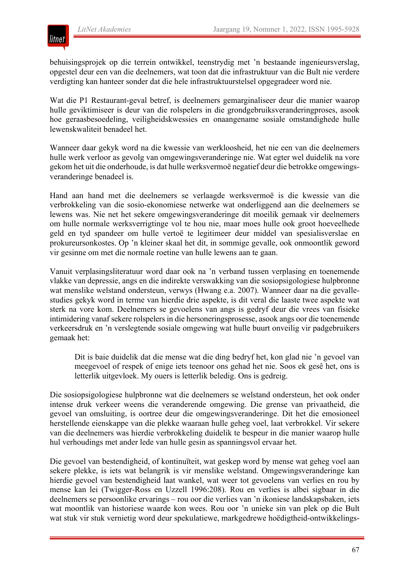behuisingsprojek op die terrein ontwikkel, teenstrydig met 'n bestaande ingenieursverslag, opgestel deur een van die deelnemers, wat toon dat die infrastruktuur van die Bult nie verdere verdigting kan hanteer sonder dat die hele infrastruktuurstelsel opgegradeer word nie.

Wat die P1 Restaurant-geval betref, is deelnemers gemarginaliseer deur die manier waarop hulle geviktimiseer is deur van die rolspelers in die grondgebruiksveranderingproses, asook hoe geraasbesoedeling, veiligheidskwessies en onaangename sosiale omstandighede hulle lewenskwaliteit benadeel het.

Wanneer daar gekyk word na die kwessie van werkloosheid, het nie een van die deelnemers hulle werk verloor as gevolg van omgewingsveranderinge nie. Wat egter wel duidelik na vore gekom het uit die onderhoude, is dat hulle werksvermoë negatief deur die betrokke omgewingsveranderinge benadeel is.

Hand aan hand met die deelnemers se verlaagde werksvermoë is die kwessie van die verbrokkeling van die sosio-ekonomiese netwerke wat onderliggend aan die deelnemers se lewens was. Nie net het sekere omgewingsveranderinge dit moeilik gemaak vir deelnemers om hulle normale werksverrigtinge vol te hou nie, maar moes hulle ook groot hoeveelhede geld en tyd spandeer om hulle vertoë te legitimeer deur middel van spesialisverslae en prokureursonkostes. Op 'n kleiner skaal het dit, in sommige gevalle, ook onmoontlik geword vir gesinne om met die normale roetine van hulle lewens aan te gaan.

Vanuit verplasingsliteratuur word daar ook na 'n verband tussen verplasing en toenemende vlakke van depressie, angs en die indirekte verswakking van die sosiopsigologiese hulpbronne wat menslike welstand ondersteun, verwys (Hwang e.a. 2007). Wanneer daar na die gevallestudies gekyk word in terme van hierdie drie aspekte, is dit veral die laaste twee aspekte wat sterk na vore kom. Deelnemers se gevoelens van angs is gedryf deur die vrees van fisieke intimidering vanaf sekere rolspelers in die hersoneringsprosesse, asook angs oor die toenemende verkeersdruk en 'n verslegtende sosiale omgewing wat hulle buurt onveilig vir padgebruikers gemaak het:

Dit is baie duidelik dat die mense wat die ding bedryf het, kon glad nie 'n gevoel van meegevoel of respek of enige iets teenoor ons gehad het nie. Soos ek gesê het, ons is letterlik uitgevloek. My ouers is letterlik beledig. Ons is gedreig.

Die sosiopsigologiese hulpbronne wat die deelnemers se welstand ondersteun, het ook onder intense druk verkeer weens die veranderende omgewing. Die grense van privaatheid, die gevoel van omsluiting, is oortree deur die omgewingsveranderinge. Dit het die emosioneel herstellende eienskappe van die plekke waaraan hulle geheg voel, laat verbrokkel. Vir sekere van die deelnemers was hierdie verbrokkeling duidelik te bespeur in die manier waarop hulle hul verhoudings met ander lede van hulle gesin as spanningsvol ervaar het.

Die gevoel van bestendigheid, of kontinuïteit, wat geskep word by mense wat geheg voel aan sekere plekke, is iets wat belangrik is vir menslike welstand. Omgewingsveranderinge kan hierdie gevoel van bestendigheid laat wankel, wat weer tot gevoelens van verlies en rou by mense kan lei (Twigger-Ross en Uzzell 1996:208). Rou en verlies is albei sigbaar in die deelnemers se persoonlike ervarings – rou oor die verlies van 'n ikoniese landskapsbaken, iets wat moontlik van historiese waarde kon wees. Rou oor 'n unieke sin van plek op die Bult wat stuk vir stuk vernietig word deur spekulatiewe, markgedrewe hoëdigtheid-ontwikkelings-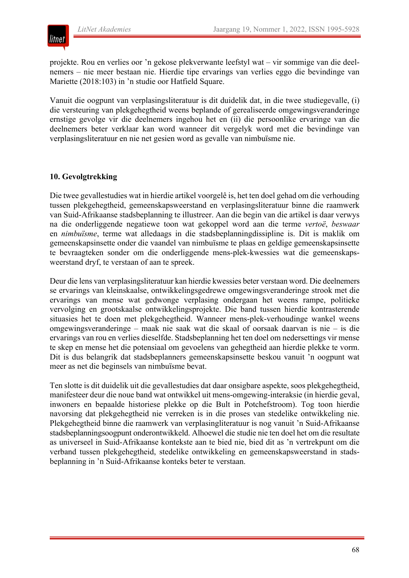

projekte. Rou en verlies oor 'n gekose plekverwante leefstyl wat – vir sommige van die deelnemers – nie meer bestaan nie. Hierdie tipe ervarings van verlies eggo die bevindinge van Mariette (2018:103) in 'n studie oor Hatfield Square.

Vanuit die oogpunt van verplasingsliteratuur is dit duidelik dat, in die twee studiegevalle, (i) die versteuring van plekgehegtheid weens beplande of gerealiseerde omgewingsveranderinge ernstige gevolge vir die deelnemers ingehou het en (ii) die persoonlike ervaringe van die deelnemers beter verklaar kan word wanneer dit vergelyk word met die bevindinge van verplasingsliteratuur en nie net gesien word as gevalle van nimbuïsme nie.

# **10. Gevolgtrekking**

Die twee gevallestudies wat in hierdie artikel voorgelê is, het ten doel gehad om die verhouding tussen plekgehegtheid, gemeenskapsweerstand en verplasingsliteratuur binne die raamwerk van Suid-Afrikaanse stadsbeplanning te illustreer. Aan die begin van die artikel is daar verwys na die onderliggende negatiewe toon wat gekoppel word aan die terme *vertoë*, *beswaar* en *nimbuïsme*, terme wat alledaags in die stadsbeplanningdissipline is. Dit is maklik om gemeenskapsinsette onder die vaandel van nimbuïsme te plaas en geldige gemeenskapsinsette te bevraagteken sonder om die onderliggende mens-plek-kwessies wat die gemeenskapsweerstand dryf, te verstaan of aan te spreek.

Deur die lens van verplasingsliteratuur kan hierdie kwessies beter verstaan word. Die deelnemers se ervarings van kleinskaalse, ontwikkelingsgedrewe omgewingsveranderinge strook met die ervarings van mense wat gedwonge verplasing ondergaan het weens rampe, politieke vervolging en grootskaalse ontwikkelingsprojekte. Die band tussen hierdie kontrasterende situasies het te doen met plekgehegtheid. Wanneer mens-plek-verhoudinge wankel weens omgewingsveranderinge – maak nie saak wat die skaal of oorsaak daarvan is nie – is die ervarings van rou en verlies dieselfde. Stadsbeplanning het ten doel om nedersettings vir mense te skep en mense het die potensiaal om gevoelens van gehegtheid aan hierdie plekke te vorm. Dit is dus belangrik dat stadsbeplanners gemeenskapsinsette beskou vanuit 'n oogpunt wat meer as net die beginsels van nimbuïsme bevat.

Ten slotte is dit duidelik uit die gevallestudies dat daar onsigbare aspekte, soos plekgehegtheid, manifesteer deur die noue band wat ontwikkel uit mens-omgewing-interaksie (in hierdie geval, inwoners en bepaalde historiese plekke op die Bult in Potchefstroom). Tog toon hierdie navorsing dat plekgehegtheid nie verreken is in die proses van stedelike ontwikkeling nie. Plekgehegtheid binne die raamwerk van verplasingliteratuur is nog vanuit 'n Suid-Afrikaanse stadsbeplanningsoogpunt onderontwikkeld. Alhoewel die studie nie ten doel het om die resultate as universeel in Suid-Afrikaanse kontekste aan te bied nie, bied dit as 'n vertrekpunt om die verband tussen plekgehegtheid, stedelike ontwikkeling en gemeenskapsweerstand in stadsbeplanning in 'n Suid-Afrikaanse konteks beter te verstaan.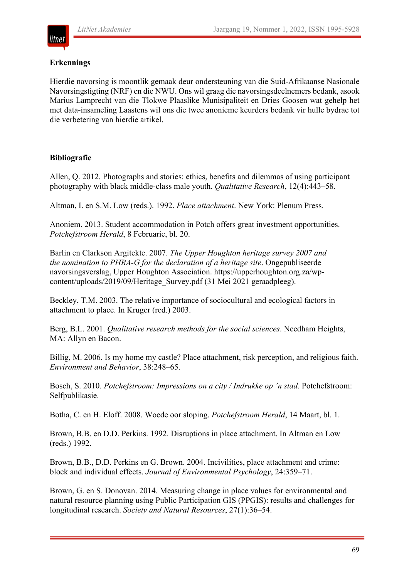

# **Erkennings**

Hierdie navorsing is moontlik gemaak deur ondersteuning van die Suid-Afrikaanse Nasionale Navorsingstigting (NRF) en die NWU. Ons wil graag die navorsingsdeelnemers bedank, asook Marius Lamprecht van die Tlokwe Plaaslike Munisipaliteit en Dries Goosen wat gehelp het met data-insameling Laastens wil ons die twee anonieme keurders bedank vir hulle bydrae tot die verbetering van hierdie artikel.

# **Bibliografie**

Allen, Q. 2012. Photographs and stories: ethics, benefits and dilemmas of using participant photography with black middle-class male youth. *Qualitative Research*, 12(4):443–58.

Altman, I. en S.M. Low (reds.). 1992. *Place attachment*. New York: Plenum Press.

Anoniem. 2013. Student accommodation in Potch offers great investment opportunities. *Potchefstroom Herald*, 8 Februarie, bl. 20.

Barlin en Clarkson Argitekte. 2007. *The Upper Houghton heritage survey 2007 and the nomination to PHRA-G for the declaration of a heritage site*. Ongepubliseerde navorsingsverslag, Upper Houghton Association. https://upperhoughton.org.za/wpcontent/uploads/2019/09/Heritage\_Survey.pdf (31 Mei 2021 geraadpleeg).

Beckley, T.M. 2003. The relative importance of sociocultural and ecological factors in attachment to place. In Kruger (red.) 2003.

Berg, B.L. 2001. *Qualitative research methods for the social sciences*. Needham Heights, MA: Allyn en Bacon.

Billig, M. 2006. Is my home my castle? Place attachment, risk perception, and religious faith. *Environment and Behavior*, 38:248–65.

Bosch, S. 2010. *Potchefstroom: Impressions on a city / Indrukke op 'n stad*. Potchefstroom: Selfpublikasie.

Botha, C. en H. Eloff. 2008. Woede oor sloping. *Potchefstroom Herald*, 14 Maart, bl. 1.

Brown, B.B. en D.D. Perkins. 1992. Disruptions in place attachment. In Altman en Low (reds.) 1992.

Brown, B.B., D.D. Perkins en G. Brown. 2004. Incivilities, place attachment and crime: block and individual effects. *Journal of Environmental Psychology*, 24:359–71.

Brown, G. en S. Donovan. 2014. Measuring change in place values for environmental and natural resource planning using Public Participation GIS (PPGIS): results and challenges for longitudinal research. *Society and Natural Resources*, 27(1):36–54.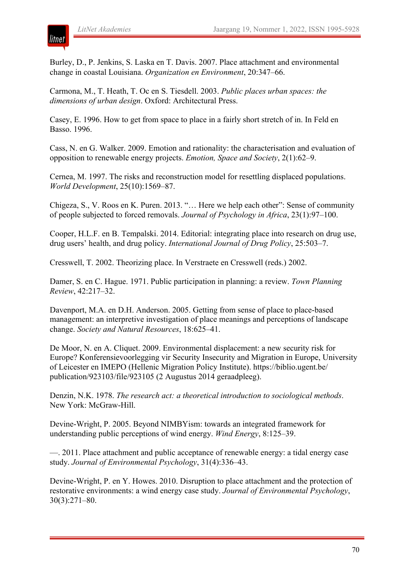

Burley, D., P. Jenkins, S. Laska en T. Davis. 2007. Place attachment and environmental change in coastal Louisiana. *Organization en Environment*, 20:347–66.

Carmona, M., T. Heath, T. Oc en S. Tiesdell. 2003. *Public places urban spaces: the dimensions of urban design*. Oxford: Architectural Press.

Casey, E. 1996. How to get from space to place in a fairly short stretch of in. In Feld en Basso. 1996.

Cass, N. en G. Walker. 2009. Emotion and rationality: the characterisation and evaluation of opposition to renewable energy projects. *Emotion, Space and Society*, 2(1):62–9.

Cernea, M. 1997. The risks and reconstruction model for resettling displaced populations. *World Development*, 25(10):1569–87.

Chigeza, S., V. Roos en K. Puren. 2013. "… Here we help each other": Sense of community of people subjected to forced removals. *Journal of Psychology in Africa*, 23(1):97–100.

Cooper, H.L.F. en B. Tempalski. 2014. Editorial: integrating place into research on drug use, drug users' health, and drug policy. *International Journal of Drug Policy*, 25:503–7.

Cresswell, T. 2002. Theorizing place. In Verstraete en Cresswell (reds.) 2002.

Damer, S. en C. Hague. 1971. Public participation in planning: a review. *Town Planning Review*, 42:217–32.

Davenport, M.A. en D.H. Anderson. 2005. Getting from sense of place to place-based management: an interpretive investigation of place meanings and perceptions of landscape change. *Society and Natural Resources*, 18:625–41.

De Moor, N. en A. Cliquet. 2009. Environmental displacement: a new security risk for Europe? Konferensievoorlegging vir Security Insecurity and Migration in Europe, University of Leicester en IMEPO (Hellenic Migration Policy Institute). https://biblio.ugent.be/ publication/923103/file/923105 (2 Augustus 2014 geraadpleeg).

Denzin, N.K. 1978. *The research act: a theoretical introduction to sociological methods*. New York: McGraw-Hill.

Devine-Wright, P. 2005. Beyond NIMBYism: towards an integrated framework for understanding public perceptions of wind energy. *Wind Energy*, 8:125–39.

—. 2011. Place attachment and public acceptance of renewable energy: a tidal energy case study. *Journal of Environmental Psychology*, 31(4):336–43.

Devine-Wright, P. en Y. Howes. 2010. Disruption to place attachment and the protection of restorative environments: a wind energy case study. *Journal of Environmental Psychology*, 30(3):271–80.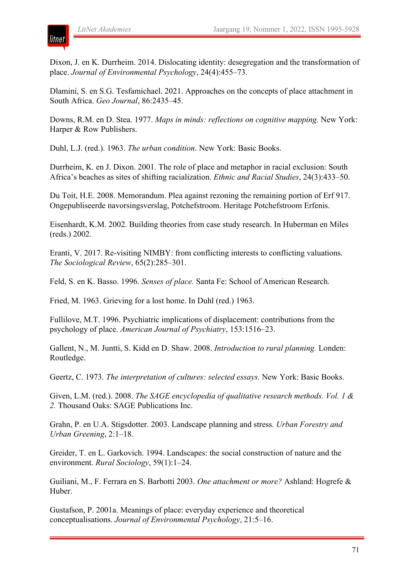

Dixon, J. en K. Durrheim. 2014. Dislocating identity: desegregation and the transformation of place. *Journal of Environmental Psychology*, 24(4):455–73.

Dlamini, S. en S.G. Tesfamichael. 2021. Approaches on the concepts of place attachment in South Africa. *Geo Journal*, 86:2435–45.

Downs, R.M. en D. Stea. 1977. *Maps in minds: reflections on cognitive mapping.* New York: Harper & Row Publishers.

Duhl, L.J. (red.). 1963. *The urban condition*. New York: Basic Books.

Durrheim, K. en J. Dixon. 2001. The role of place and metaphor in racial exclusion: South Africa's beaches as sites of shifting racialization. *Ethnic and Racial Studies*, 24(3):433–50.

Du Toit, H.E. 2008. Memorandum. Plea against rezoning the remaining portion of Erf 917. Ongepubliseerde navorsingsverslag, Potchefstroom. Heritage Potchefstroom Erfenis.

Eisenhardt, K.M. 2002. Building theories from case study research. In Huberman en Miles (reds.) 2002.

Eranti, V. 2017. Re-visiting NIMBY: from conflicting interests to conflicting valuations. *The Sociological Review*, 65(2):285–301.

Feld, S. en K. Basso. 1996. *Senses of place.* Santa Fe: School of American Research.

Fried, M. 1963. Grieving for a lost home. In Duhl (red.) 1963.

Fullilove, M.T. 1996. Psychiatric implications of displacement: contributions from the psychology of place. *American Journal of Psychiatry*, 153:1516–23.

Gallent, N., M. Juntti, S. Kidd en D. Shaw. 2008. *Introduction to rural planning.* Londen: Routledge.

Geertz, C. 1973. *The interpretation of cultures: selected essays.* New York: Basic Books.

Given, L.M. (red.). 2008. *The SAGE encyclopedia of qualitative research methods. Vol. 1 & 2.* Thousand Oaks: SAGE Publications Inc.

Grahn, P. en U.A. Stigsdotter. 2003. Landscape planning and stress. *Urban Forestry and Urban Greening*, 2:1–18.

Greider, T. en L. Garkovich. 1994. Landscapes: the social construction of nature and the environment. *Rural Sociology*, 59(1):1–24.

Guiliani, M., F. Ferrara en S. Barbotti 2003. *One attachment or more?* Ashland: Hogrefe & Huber.

Gustafson, P. 2001a. Meanings of place: everyday experience and theoretical conceptualisations. *Journal of Environmental Psychology*, 21:5–16.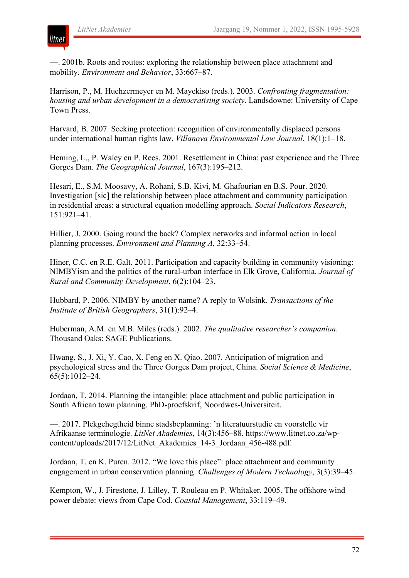

—. 2001b. Roots and routes: exploring the relationship between place attachment and mobility. *Environment and Behavior*, 33:667–87.

Harrison, P., M. Huchzermeyer en M. Mayekiso (reds.). 2003. *Confronting fragmentation: housing and urban development in a democratising society*. Landsdowne: University of Cape Town Press.

Harvard, B. 2007. Seeking protection: recognition of environmentally displaced persons under international human rights law. *Villanova Environmental Law Journal*, 18(1):1–18.

Heming, L., P. Waley en P. Rees. 2001. Resettlement in China: past experience and the Three Gorges Dam. *The Geographical Journal*, 167(3):195–212.

Hesari, E., S.M. Moosavy, A. Rohani, S.B. Kivi, M. Ghafourian en B.S. Pour. 2020. Investigation [sic] the relationship between place attachment and community participation in residential areas: a structural equation modelling approach. *Social Indicators Research*, 151:921–41.

Hillier, J. 2000. Going round the back? Complex networks and informal action in local planning processes. *Environment and Planning A*, 32:33–54.

Hiner, C.C. en R.E. Galt. 2011. Participation and capacity building in community visioning: NIMBYism and the politics of the rural-urban interface in Elk Grove, California. *Journal of Rural and Community Development*, 6(2):104–23.

Hubbard, P. 2006. NIMBY by another name? A reply to Wolsink. *Transactions of the Institute of British Geographers*, 31(1):92–4.

Huberman, A.M. en M.B. Miles (reds.). 2002. *The qualitative researcher's companion*. Thousand Oaks: SAGE Publications.

Hwang, S., J. Xi, Y. Cao, X. Feng en X. Qiao. 2007. Anticipation of migration and psychological stress and the Three Gorges Dam project, China. *Social Science & Medicine*, 65(5):1012–24.

Jordaan, T. 2014. Planning the intangible: place attachment and public participation in South African town planning. PhD-proefskrif, Noordwes-Universiteit.

—. 2017. Plekgehegtheid binne stadsbeplanning: 'n literatuurstudie en voorstelle vir Afrikaanse terminologie. *LitNet Akademies*, 14(3):456–88. https://www.litnet.co.za/wpcontent/uploads/2017/12/LitNet\_Akademies\_14-3\_Jordaan\_456-488.pdf.

Jordaan, T. en K. Puren. 2012. "We love this place": place attachment and community engagement in urban conservation planning. *Challenges of Modern Technology*, 3(3):39–45.

Kempton, W., J. Firestone, J. Lilley, T. Rouleau en P. Whitaker. 2005. The offshore wind power debate: views from Cape Cod. *Coastal Management*, 33:119–49.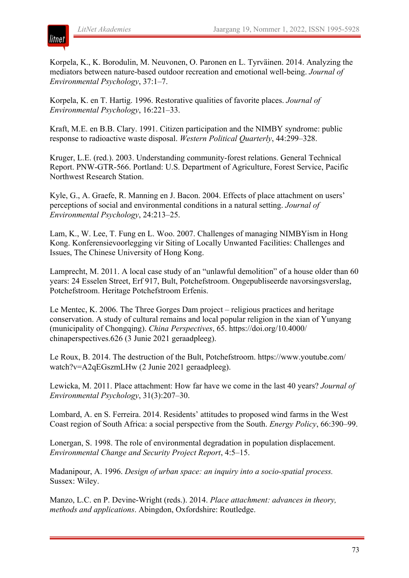

Korpela, K., K. Borodulin, M. Neuvonen, O. Paronen en L. Tyrväinen. 2014. Analyzing the mediators between nature-based outdoor recreation and emotional well-being. *Journal of Environmental Psychology*, 37:1–7.

Korpela, K. en T. Hartig. 1996. Restorative qualities of favorite places. *Journal of Environmental Psychology*, 16:221–33.

Kraft, M.E. en B.B. Clary. 1991. Citizen participation and the NIMBY syndrome: public response to radioactive waste disposal. *Western Political Quarterly*, 44:299–328.

Kruger, L.E. (red.). 2003. Understanding community-forest relations. General Technical Report. PNW-GTR-566. Portland: U.S. Department of Agriculture, Forest Service, Pacific Northwest Research Station.

Kyle, G., A. Graefe, R. Manning en J. Bacon. 2004. Effects of place attachment on users' perceptions of social and environmental conditions in a natural setting. *Journal of Environmental Psychology*, 24:213–25.

Lam, K., W. Lee, T. Fung en L. Woo. 2007. Challenges of managing NIMBYism in Hong Kong. Konferensievoorlegging vir Siting of Locally Unwanted Facilities: Challenges and Issues, The Chinese University of Hong Kong.

Lamprecht, M. 2011. A local case study of an "unlawful demolition" of a house older than 60 years: 24 Esselen Street, Erf 917, Bult, Potchefstroom. Ongepubliseerde navorsingsverslag, Potchefstroom. Heritage Potchefstroom Erfenis.

Le Mentec, K. 2006. The Three Gorges Dam project – religious practices and heritage conservation. A study of cultural remains and local popular religion in the xian of Yunyang (municipality of Chongqing). *China Perspectives*, 65. https://doi.org/10.4000/ chinaperspectives.626 (3 Junie 2021 geraadpleeg).

Le Roux, B. 2014. The destruction of the Bult, Potchefstroom. https://www.youtube.com/ watch?v=A2qEGszmLHw (2 Junie 2021 geraadpleeg).

Lewicka, M. 2011. Place attachment: How far have we come in the last 40 years? *Journal of Environmental Psychology*, 31(3):207–30.

Lombard, A. en S. Ferreira. 2014. Residents' attitudes to proposed wind farms in the West Coast region of South Africa: a social perspective from the South. *Energy Policy*, 66:390–99.

Lonergan, S. 1998. The role of environmental degradation in population displacement. *Environmental Change and Security Project Report*, 4:5–15.

Madanipour, A. 1996. *Design of urban space: an inquiry into a socio-spatial process.* Sussex: Wiley.

Manzo, L.C. en P. Devine-Wright (reds.). 2014. *Place attachment: advances in theory, methods and applications*. Abingdon, Oxfordshire: Routledge.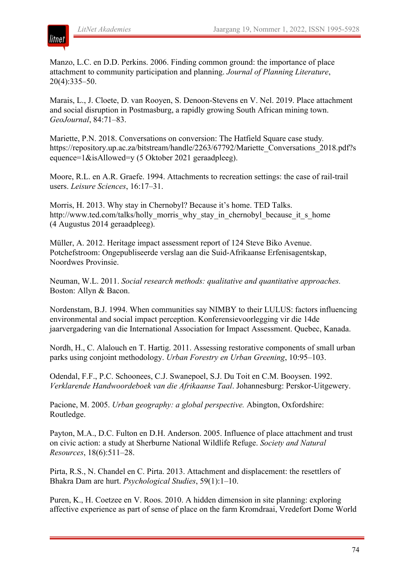

Manzo, L.C. en D.D. Perkins. 2006. Finding common ground: the importance of place attachment to community participation and planning. *Journal of Planning Literature*, 20(4):335–50.

Marais, L., J. Cloete, D. van Rooyen, S. Denoon-Stevens en V. Nel. 2019. Place attachment and social disruption in Postmasburg, a rapidly growing South African mining town. *GeoJournal*, 84:71–83.

Mariette, P.N. 2018. Conversations on conversion: The Hatfield Square case study*.* https://repository.up.ac.za/bitstream/handle/2263/67792/Mariette\_Conversations\_2018.pdf?s equence=1&isAllowed=y (5 Oktober 2021 geraadpleeg).

Moore, R.L. en A.R. Graefe. 1994. Attachments to recreation settings: the case of rail-trail users. *Leisure Sciences*, 16:17–31.

Morris, H. 2013. Why stay in Chernobyl? Because it's home. TED Talks. http://www.ted.com/talks/holly\_morris\_why\_stay\_in\_chernobyl\_because\_it\_s\_home (4 Augustus 2014 geraadpleeg).

Müller, A. 2012. Heritage impact assessment report of 124 Steve Biko Avenue. Potchefstroom: Ongepubliseerde verslag aan die Suid-Afrikaanse Erfenisagentskap, Noordwes Provinsie.

Neuman, W.L. 2011. *Social research methods: qualitative and quantitative approaches.* Boston: Allyn & Bacon.

Nordenstam, B.J. 1994. When communities say NIMBY to their LULUS: factors influencing environmental and social impact perception. Konferensievoorlegging vir die 14de jaarvergadering van die International Association for Impact Assessment. Quebec, Kanada.

Nordh, H., C. Alalouch en T. Hartig. 2011. Assessing restorative components of small urban parks using conjoint methodology. *Urban Forestry en Urban Greening*, 10:95–103.

Odendal, F.F., P.C. Schoonees, C.J. Swanepoel, S.J. Du Toit en C.M. Booysen. 1992. *Verklarende Handwoordeboek van die Afrikaanse Taal*. Johannesburg: Perskor-Uitgewery.

Pacione, M. 2005. *Urban geography: a global perspective.* Abington, Oxfordshire: Routledge.

Payton, M.A., D.C. Fulton en D.H. Anderson. 2005. Influence of place attachment and trust on civic action: a study at Sherburne National Wildlife Refuge. *Society and Natural Resources*, 18(6):511–28.

Pirta, R.S., N. Chandel en C. Pirta. 2013. Attachment and displacement: the resettlers of Bhakra Dam are hurt. *Psychological Studies*, 59(1):1–10.

Puren, K., H. Coetzee en V. Roos. 2010. A hidden dimension in site planning: exploring affective experience as part of sense of place on the farm Kromdraai, Vredefort Dome World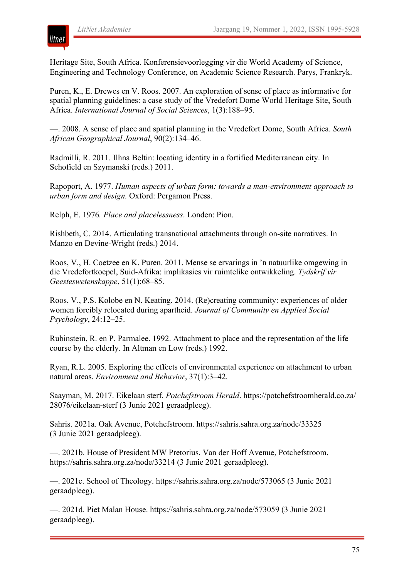

Heritage Site, South Africa. Konferensievoorlegging vir die World Academy of Science, Engineering and Technology Conference, on Academic Science Research. Parys, Frankryk.

Puren, K., E. Drewes en V. Roos. 2007. An exploration of sense of place as informative for spatial planning guidelines: a case study of the Vredefort Dome World Heritage Site, South Africa. *International Journal of Social Sciences*, 1(3):188–95.

—. 2008. A sense of place and spatial planning in the Vredefort Dome, South Africa. *South African Geographical Journal*, 90(2):134–46.

Radmilli, R. 2011. Ilhna Beltin: locating identity in a fortified Mediterranean city. In Schofield en Szymanski (reds.) 2011.

Rapoport, A. 1977. *Human aspects of urban form: towards a man-environment approach to urban form and design.* Oxford: Pergamon Press.

Relph, E. 1976*. Place and placelessness*. Londen: Pion.

Rishbeth, C. 2014. Articulating transnational attachments through on-site narratives. In Manzo en Devine-Wright (reds.) 2014.

Roos, V., H. Coetzee en K. Puren. 2011. Mense se ervarings in 'n natuurlike omgewing in die Vredefortkoepel, Suid-Afrika: implikasies vir ruimtelike ontwikkeling. *Tydskrif vir Geesteswetenskappe*, 51(1):68–85.

Roos, V., P.S. Kolobe en N. Keating. 2014. (Re)creating community: experiences of older women forcibly relocated during apartheid. *Journal of Community en Applied Social Psychology*, 24:12–25.

Rubinstein, R. en P. Parmalee. 1992. Attachment to place and the representation of the life course by the elderly. In Altman en Low (reds.) 1992.

Ryan, R.L. 2005. Exploring the effects of environmental experience on attachment to urban natural areas. *Environment and Behavior*, 37(1):3–42.

Saayman, M. 2017. Eikelaan sterf. *Potchefstroom Herald*. https://potchefstroomherald.co.za/ 28076/eikelaan-sterf (3 Junie 2021 geraadpleeg).

Sahris. 2021a. Oak Avenue, Potchefstroom. https://sahris.sahra.org.za/node/33325 (3 Junie 2021 geraadpleeg).

—. 2021b. House of President MW Pretorius, Van der Hoff Avenue, Potchefstroom. https://sahris.sahra.org.za/node/33214 (3 Junie 2021 geraadpleeg).

—. 2021c. School of Theology. https://sahris.sahra.org.za/node/573065 (3 Junie 2021 geraadpleeg).

—. 2021d. Piet Malan House. https://sahris.sahra.org.za/node/573059 (3 Junie 2021 geraadpleeg).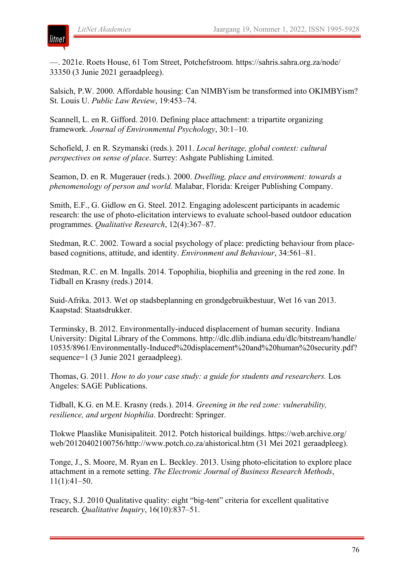

—. 2021e. Roets House, 61 Tom Street, Potchefstroom. https://sahris.sahra.org.za/node/ 33350 (3 Junie 2021 geraadpleeg).

Salsich, P.W. 2000. Affordable housing: Can NIMBYism be transformed into OKIMBYism? St. Louis U. *Public Law Review*, 19:453–74.

Scannell, L. en R. Gifford. 2010. Defining place attachment: a tripartite organizing framework. *Journal of Environmental Psychology*, 30:1–10.

Schofield, J. en R. Szymanski (reds.). 2011. *Local heritage, global context: cultural perspectives on sense of place*. Surrey: Ashgate Publishing Limited.

Seamon, D. en R. Mugerauer (reds.). 2000. *Dwelling, place and environment: towards a phenomenology of person and world.* Malabar, Florida: Kreiger Publishing Company.

Smith, E.F., G. Gidlow en G. Steel. 2012. Engaging adolescent participants in academic research: the use of photo-elicitation interviews to evaluate school-based outdoor education programmes. *Qualitative Research*, 12(4):367–87.

Stedman, R.C. 2002. Toward a social psychology of place: predicting behaviour from placebased cognitions, attitude, and identity. *Environment and Behaviour*, 34:561–81.

Stedman, R.C. en M. Ingalls. 2014. Topophilia, biophilia and greening in the red zone. In Tidball en Krasny (reds.) 2014.

Suid-Afrika. 2013. Wet op stadsbeplanning en grondgebruikbestuur, Wet 16 van 2013. Kaapstad: Staatsdrukker.

Terminsky, B. 2012. Environmentally-induced displacement of human security. Indiana University: Digital Library of the Commons. http://dlc.dlib.indiana.edu/dlc/bitstream/handle/ 10535/8961/Environmentally-Induced%20displacement%20and%20human%20security.pdf? sequence=1 (3 Junie 2021 geraadpleeg).

Thomas, G. 2011. *How to do your case study: a guide for students and researchers.* Los Angeles: SAGE Publications.

Tidball, K.G. en M.E. Krasny (reds.). 2014. *Greening in the red zone: vulnerability, resilience, and urgent biophilia*. Dordrecht: Springer.

Tlokwe Plaaslike Munisipaliteit. 2012. Potch historical buildings. https://web.archive.org/ web/20120402100756/http://www.potch.co.za/ahistorical.htm (31 Mei 2021 geraadpleeg).

Tonge, J., S. Moore, M. Ryan en L. Beckley. 2013. Using photo-elicitation to explore place attachment in a remote setting. *The Electronic Journal of Business Research Methods*, 11(1):41–50.

Tracy, S.J. 2010 Qualitative quality: eight "big-tent" criteria for excellent qualitative research. *Qualitative Inquiry*, 16(10):837–51.